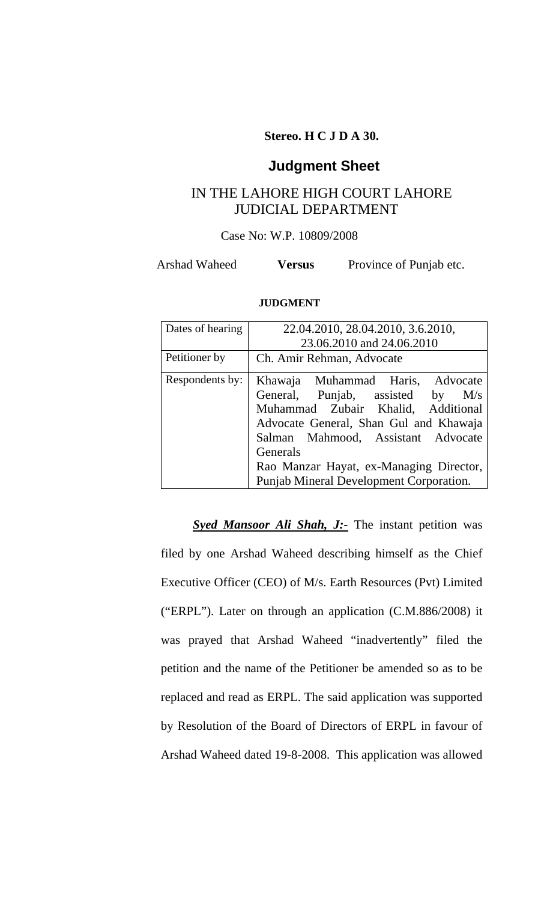# **Stereo. H C J D A 30.**

# **Judgment Sheet**

# IN THE LAHORE HIGH COURT LAHORE JUDICIAL DEPARTMENT

# Case No: W.P. 10809/2008

Arshad Waheed **Versus** Province of Punjab etc.

#### **JUDGMENT**

| Dates of hearing | 22.04.2010, 28.04.2010, 3.6.2010,                                                                                                                                                                                                                                                            |
|------------------|----------------------------------------------------------------------------------------------------------------------------------------------------------------------------------------------------------------------------------------------------------------------------------------------|
|                  | 23.06.2010 and 24.06.2010                                                                                                                                                                                                                                                                    |
| Petitioner by    | Ch. Amir Rehman, Advocate                                                                                                                                                                                                                                                                    |
| Respondents by:  | Khawaja Muhammad Haris, Advocate<br>General, Punjab, assisted by M/s<br>Muhammad Zubair Khalid, Additional<br>Advocate General, Shan Gul and Khawaja<br>Salman Mahmood, Assistant Advocate<br>Generals<br>Rao Manzar Hayat, ex-Managing Director,<br>Punjab Mineral Development Corporation. |

**Syed Mansoor Ali Shah, J:-** The instant petition was filed by one Arshad Waheed describing himself as the Chief Executive Officer (CEO) of M/s. Earth Resources (Pvt) Limited ("ERPL"). Later on through an application (C.M.886/2008) it was prayed that Arshad Waheed "inadvertently" filed the petition and the name of the Petitioner be amended so as to be replaced and read as ERPL. The said application was supported by Resolution of the Board of Directors of ERPL in favour of Arshad Waheed dated 19-8-2008. This application was allowed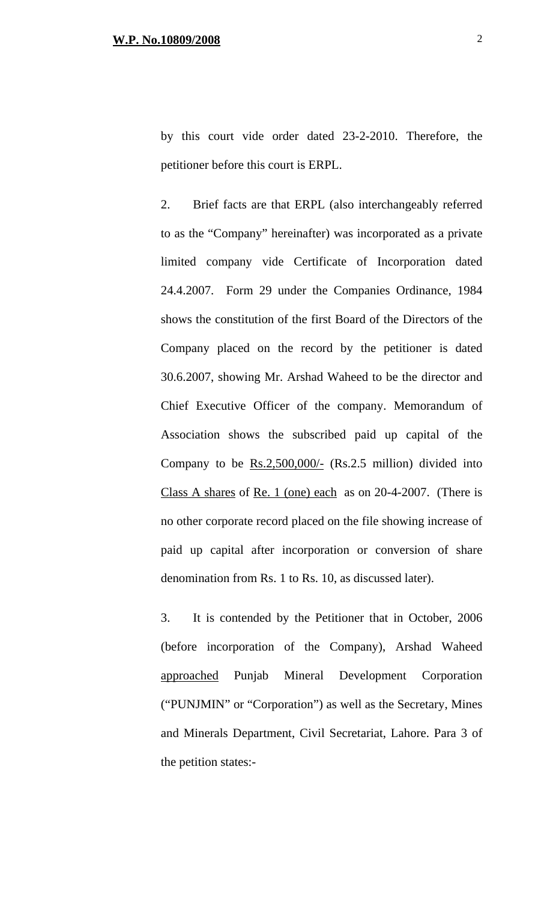by this court vide order dated 23-2-2010. Therefore, the petitioner before this court is ERPL.

2. Brief facts are that ERPL (also interchangeably referred to as the "Company" hereinafter) was incorporated as a private limited company vide Certificate of Incorporation dated 24.4.2007. Form 29 under the Companies Ordinance, 1984 shows the constitution of the first Board of the Directors of the Company placed on the record by the petitioner is dated 30.6.2007, showing Mr. Arshad Waheed to be the director and Chief Executive Officer of the company. Memorandum of Association shows the subscribed paid up capital of the Company to be  $Rs.2,500,000/$ -  $(Rs.2.5 \text{ million})$  divided into Class A shares of Re. 1 (one) each as on 20-4-2007. (There is no other corporate record placed on the file showing increase of paid up capital after incorporation or conversion of share denomination from Rs. 1 to Rs. 10, as discussed later).

3. It is contended by the Petitioner that in October, 2006 (before incorporation of the Company), Arshad Waheed approached Punjab Mineral Development Corporation ("PUNJMIN" or "Corporation") as well as the Secretary, Mines and Minerals Department, Civil Secretariat, Lahore. Para 3 of the petition states:-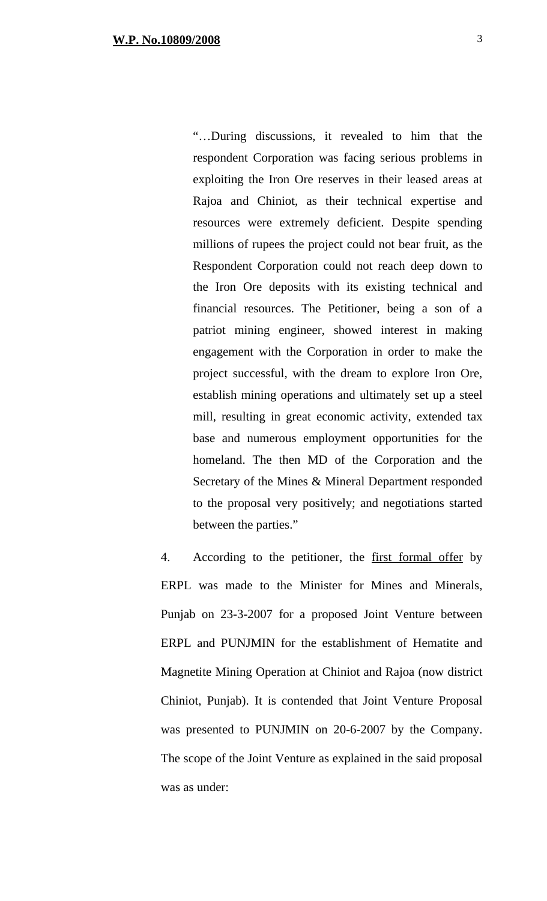"…During discussions, it revealed to him that the respondent Corporation was facing serious problems in exploiting the Iron Ore reserves in their leased areas at Rajoa and Chiniot, as their technical expertise and resources were extremely deficient. Despite spending millions of rupees the project could not bear fruit, as the Respondent Corporation could not reach deep down to the Iron Ore deposits with its existing technical and financial resources. The Petitioner, being a son of a patriot mining engineer, showed interest in making engagement with the Corporation in order to make the project successful, with the dream to explore Iron Ore, establish mining operations and ultimately set up a steel mill, resulting in great economic activity, extended tax base and numerous employment opportunities for the homeland. The then MD of the Corporation and the Secretary of the Mines & Mineral Department responded to the proposal very positively; and negotiations started between the parties."

4. According to the petitioner, the first formal offer by ERPL was made to the Minister for Mines and Minerals, Punjab on 23-3-2007 for a proposed Joint Venture between ERPL and PUNJMIN for the establishment of Hematite and Magnetite Mining Operation at Chiniot and Rajoa (now district Chiniot, Punjab). It is contended that Joint Venture Proposal was presented to PUNJMIN on 20-6-2007 by the Company. The scope of the Joint Venture as explained in the said proposal was as under: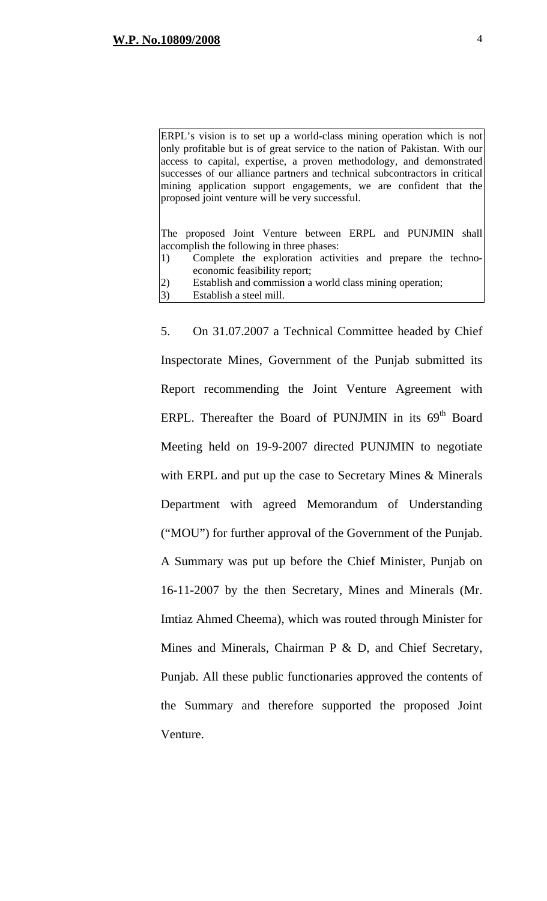ERPL's vision is to set up a world-class mining operation which is not only profitable but is of great service to the nation of Pakistan. With our access to capital, expertise, a proven methodology, and demonstrated successes of our alliance partners and technical subcontractors in critical mining application support engagements, we are confident that the proposed joint venture will be very successful.

The proposed Joint Venture between ERPL and PUNJMIN shall accomplish the following in three phases:

- 1) Complete the exploration activities and prepare the technoeconomic feasibility report;
- 2) Establish and commission a world class mining operation;
- 3) Establish a steel mill.

5. On 31.07.2007 a Technical Committee headed by Chief Inspectorate Mines, Government of the Punjab submitted its Report recommending the Joint Venture Agreement with ERPL. Thereafter the Board of PUNJMIN in its  $69<sup>th</sup>$  Board Meeting held on 19-9-2007 directed PUNJMIN to negotiate with ERPL and put up the case to Secretary Mines & Minerals Department with agreed Memorandum of Understanding ("MOU") for further approval of the Government of the Punjab. A Summary was put up before the Chief Minister, Punjab on 16-11-2007 by the then Secretary, Mines and Minerals (Mr. Imtiaz Ahmed Cheema), which was routed through Minister for Mines and Minerals, Chairman P & D, and Chief Secretary, Punjab. All these public functionaries approved the contents of the Summary and therefore supported the proposed Joint Venture.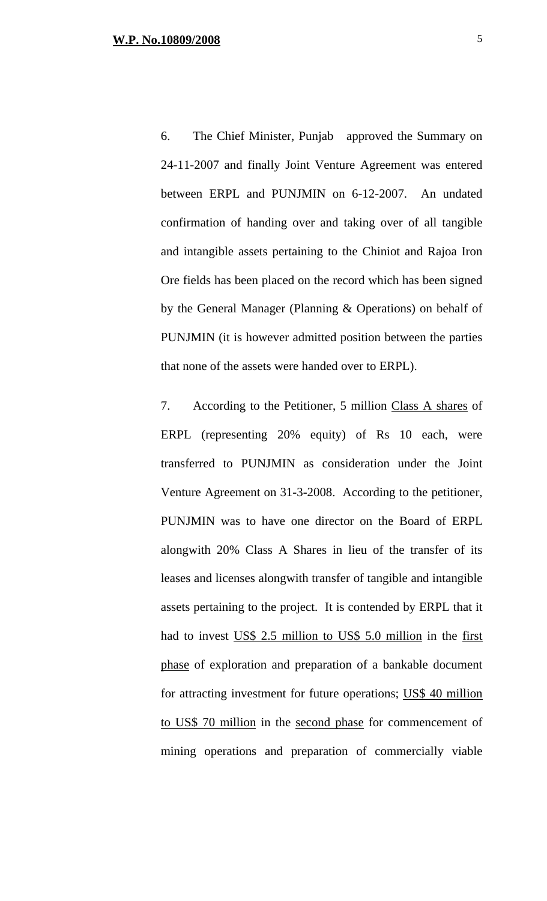6. The Chief Minister, Punjab approved the Summary on 24-11-2007 and finally Joint Venture Agreement was entered between ERPL and PUNJMIN on 6-12-2007. An undated confirmation of handing over and taking over of all tangible and intangible assets pertaining to the Chiniot and Rajoa Iron Ore fields has been placed on the record which has been signed by the General Manager (Planning & Operations) on behalf of PUNJMIN (it is however admitted position between the parties that none of the assets were handed over to ERPL).

7. According to the Petitioner, 5 million Class A shares of ERPL (representing 20% equity) of Rs 10 each, were transferred to PUNJMIN as consideration under the Joint Venture Agreement on 31-3-2008. According to the petitioner, PUNJMIN was to have one director on the Board of ERPL alongwith 20% Class A Shares in lieu of the transfer of its leases and licenses alongwith transfer of tangible and intangible assets pertaining to the project. It is contended by ERPL that it had to invest US\$ 2.5 million to US\$ 5.0 million in the first phase of exploration and preparation of a bankable document for attracting investment for future operations; US\$ 40 million to US\$ 70 million in the second phase for commencement of mining operations and preparation of commercially viable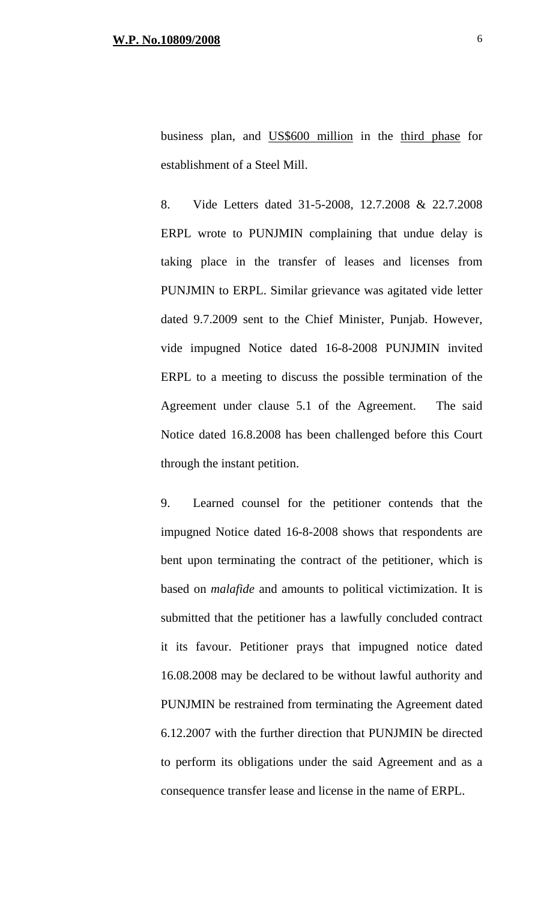business plan, and US\$600 million in the third phase for establishment of a Steel Mill.

8. Vide Letters dated 31-5-2008, 12.7.2008 & 22.7.2008 ERPL wrote to PUNJMIN complaining that undue delay is taking place in the transfer of leases and licenses from PUNJMIN to ERPL. Similar grievance was agitated vide letter dated 9.7.2009 sent to the Chief Minister, Punjab. However, vide impugned Notice dated 16-8-2008 PUNJMIN invited ERPL to a meeting to discuss the possible termination of the Agreement under clause 5.1 of the Agreement. The said Notice dated 16.8.2008 has been challenged before this Court through the instant petition.

9. Learned counsel for the petitioner contends that the impugned Notice dated 16-8-2008 shows that respondents are bent upon terminating the contract of the petitioner, which is based on *malafide* and amounts to political victimization. It is submitted that the petitioner has a lawfully concluded contract it its favour. Petitioner prays that impugned notice dated 16.08.2008 may be declared to be without lawful authority and PUNJMIN be restrained from terminating the Agreement dated 6.12.2007 with the further direction that PUNJMIN be directed to perform its obligations under the said Agreement and as a consequence transfer lease and license in the name of ERPL.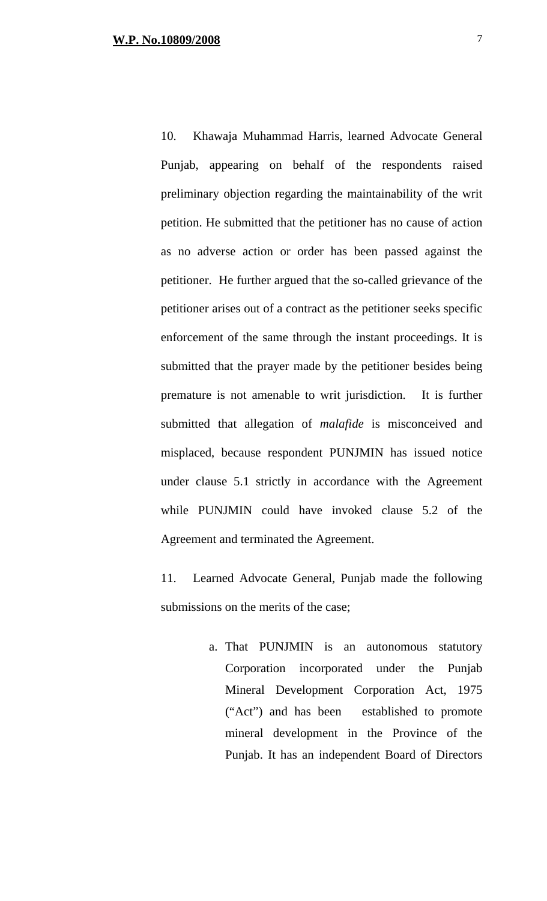10. Khawaja Muhammad Harris, learned Advocate General Punjab, appearing on behalf of the respondents raised preliminary objection regarding the maintainability of the writ petition. He submitted that the petitioner has no cause of action as no adverse action or order has been passed against the petitioner. He further argued that the so-called grievance of the petitioner arises out of a contract as the petitioner seeks specific enforcement of the same through the instant proceedings. It is submitted that the prayer made by the petitioner besides being premature is not amenable to writ jurisdiction. It is further submitted that allegation of *malafide* is misconceived and misplaced, because respondent PUNJMIN has issued notice under clause 5.1 strictly in accordance with the Agreement while PUNJMIN could have invoked clause 5.2 of the Agreement and terminated the Agreement.

11. Learned Advocate General, Punjab made the following submissions on the merits of the case;

> a. That PUNJMIN is an autonomous statutory Corporation incorporated under the Punjab Mineral Development Corporation Act, 1975 ("Act") and has been established to promote mineral development in the Province of the Punjab. It has an independent Board of Directors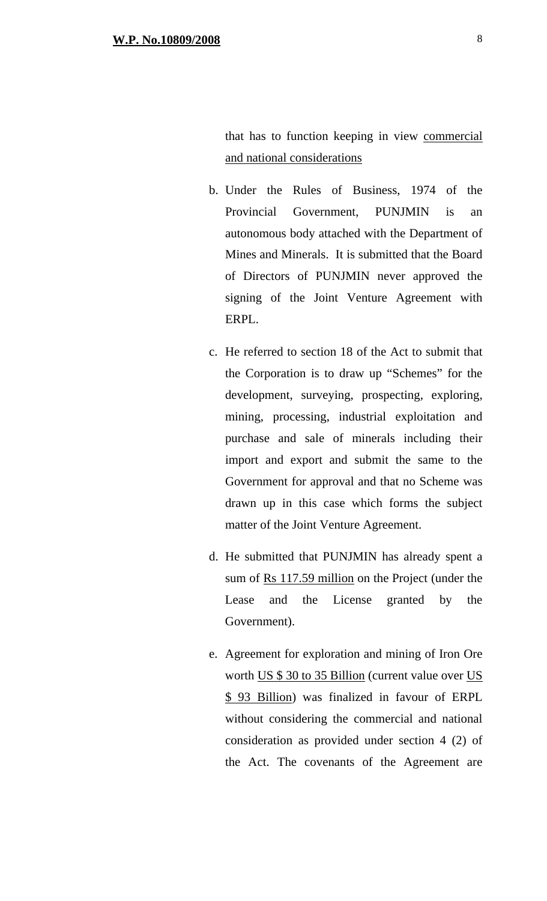that has to function keeping in view commercial and national considerations

- b. Under the Rules of Business, 1974 of the Provincial Government, PUNJMIN is an autonomous body attached with the Department of Mines and Minerals. It is submitted that the Board of Directors of PUNJMIN never approved the signing of the Joint Venture Agreement with ERPL.
- c. He referred to section 18 of the Act to submit that the Corporation is to draw up "Schemes" for the development, surveying, prospecting, exploring, mining, processing, industrial exploitation and purchase and sale of minerals including their import and export and submit the same to the Government for approval and that no Scheme was drawn up in this case which forms the subject matter of the Joint Venture Agreement.
- d. He submitted that PUNJMIN has already spent a sum of Rs 117.59 million on the Project (under the Lease and the License granted by the Government).
- e. Agreement for exploration and mining of Iron Ore worth US \$ 30 to 35 Billion (current value over US \$ 93 Billion) was finalized in favour of ERPL without considering the commercial and national consideration as provided under section 4 (2) of the Act. The covenants of the Agreement are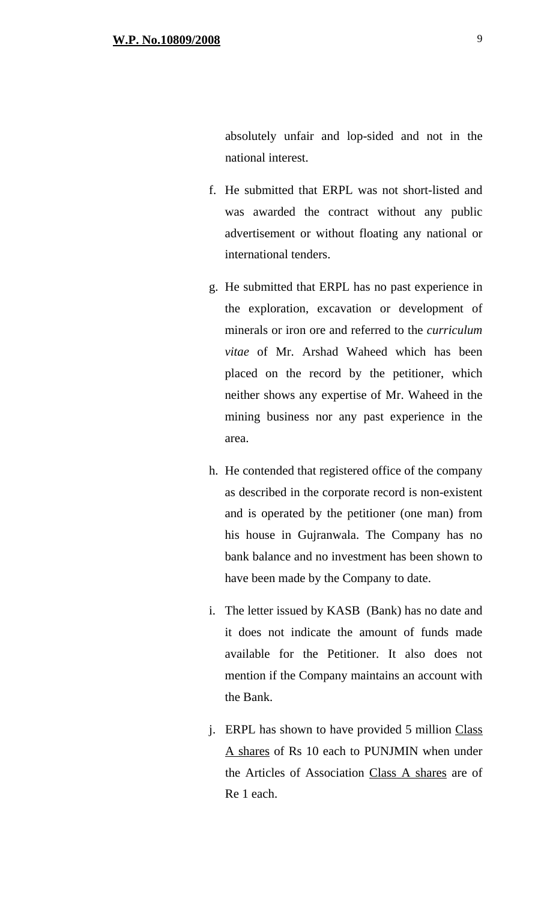- f. He submitted that ERPL was not short-listed and was awarded the contract without any public advertisement or without floating any national or international tenders.
- g. He submitted that ERPL has no past experience in the exploration, excavation or development of minerals or iron ore and referred to the *curriculum vitae* of Mr. Arshad Waheed which has been placed on the record by the petitioner, which neither shows any expertise of Mr. Waheed in the mining business nor any past experience in the area.
- h. He contended that registered office of the company as described in the corporate record is non-existent and is operated by the petitioner (one man) from his house in Gujranwala. The Company has no bank balance and no investment has been shown to have been made by the Company to date.
- i. The letter issued by KASB (Bank) has no date and it does not indicate the amount of funds made available for the Petitioner. It also does not mention if the Company maintains an account with the Bank.
- j. ERPL has shown to have provided 5 million Class A shares of Rs 10 each to PUNJMIN when under the Articles of Association Class A shares are of Re 1 each.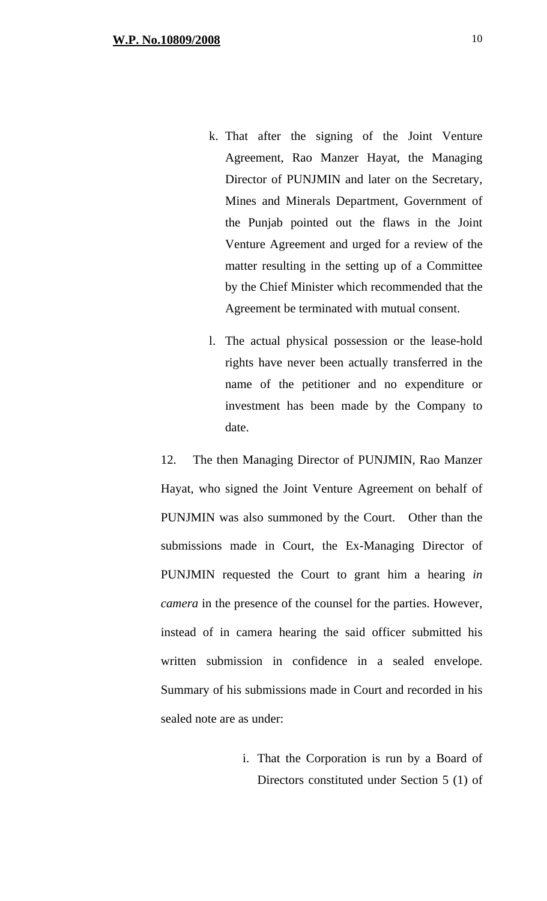- k. That after the signing of the Joint Venture Agreement, Rao Manzer Hayat, the Managing Director of PUNJMIN and later on the Secretary, Mines and Minerals Department, Government of the Punjab pointed out the flaws in the Joint Venture Agreement and urged for a review of the matter resulting in the setting up of a Committee by the Chief Minister which recommended that the Agreement be terminated with mutual consent.
- l. The actual physical possession or the lease-hold rights have never been actually transferred in the name of the petitioner and no expenditure or investment has been made by the Company to date.

12. The then Managing Director of PUNJMIN, Rao Manzer Hayat, who signed the Joint Venture Agreement on behalf of PUNJMIN was also summoned by the Court. Other than the submissions made in Court, the Ex-Managing Director of PUNJMIN requested the Court to grant him a hearing *in camera* in the presence of the counsel for the parties. However, instead of in camera hearing the said officer submitted his written submission in confidence in a sealed envelope. Summary of his submissions made in Court and recorded in his sealed note are as under:

> i. That the Corporation is run by a Board of Directors constituted under Section 5 (1) of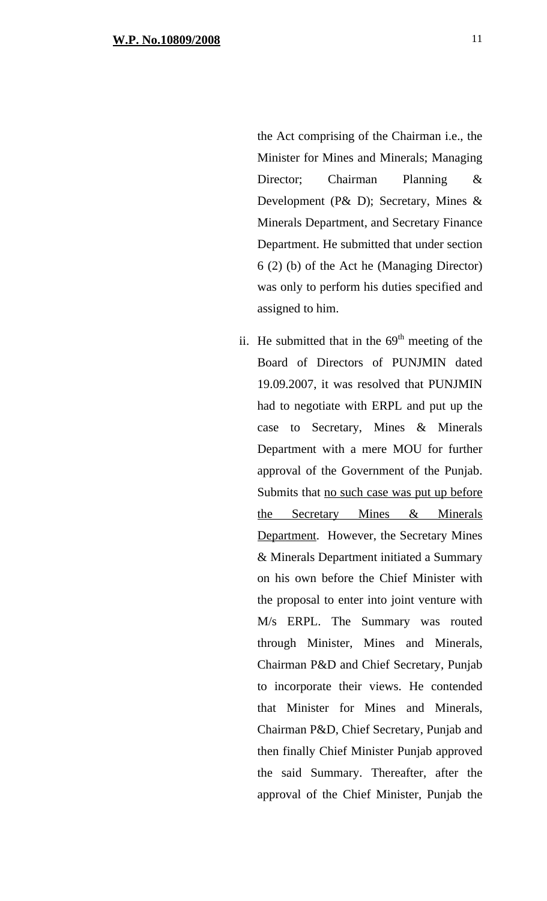the Act comprising of the Chairman i.e., the Minister for Mines and Minerals; Managing Director; Chairman Planning & Development (P& D); Secretary, Mines & Minerals Department, and Secretary Finance Department. He submitted that under section 6 (2) (b) of the Act he (Managing Director) was only to perform his duties specified and assigned to him.

ii. He submitted that in the  $69<sup>th</sup>$  meeting of the Board of Directors of PUNJMIN dated 19.09.2007, it was resolved that PUNJMIN had to negotiate with ERPL and put up the case to Secretary, Mines & Minerals Department with a mere MOU for further approval of the Government of the Punjab. Submits that no such case was put up before the Secretary Mines & Minerals Department. However, the Secretary Mines & Minerals Department initiated a Summary on his own before the Chief Minister with the proposal to enter into joint venture with M/s ERPL. The Summary was routed through Minister, Mines and Minerals, Chairman P&D and Chief Secretary, Punjab to incorporate their views. He contended that Minister for Mines and Minerals, Chairman P&D, Chief Secretary, Punjab and then finally Chief Minister Punjab approved the said Summary. Thereafter, after the approval of the Chief Minister, Punjab the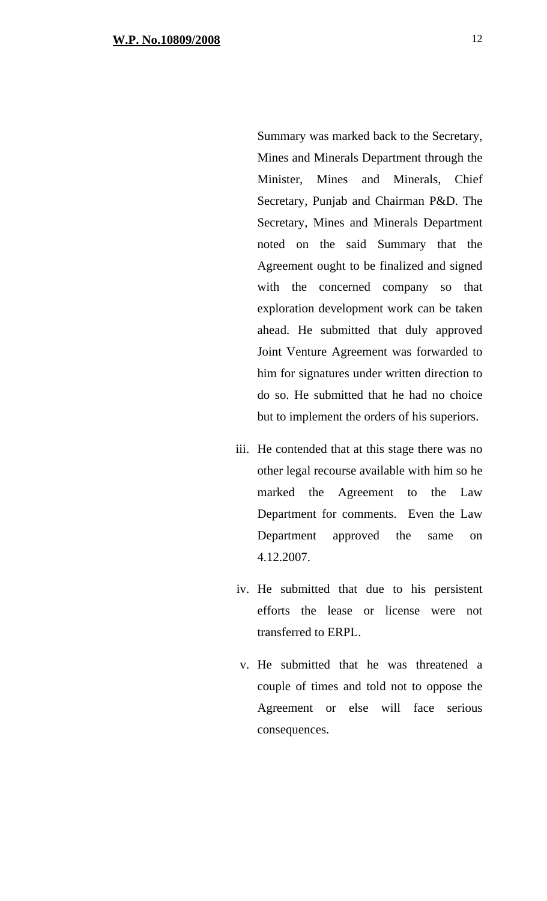Summary was marked back to the Secretary, Mines and Minerals Department through the Minister, Mines and Minerals, Chief Secretary, Punjab and Chairman P&D. The Secretary, Mines and Minerals Department noted on the said Summary that the Agreement ought to be finalized and signed with the concerned company so that exploration development work can be taken ahead. He submitted that duly approved Joint Venture Agreement was forwarded to him for signatures under written direction to do so. He submitted that he had no choice but to implement the orders of his superiors.

- iii. He contended that at this stage there was no other legal recourse available with him so he marked the Agreement to the Law Department for comments. Even the Law Department approved the same on 4.12.2007.
- iv. He submitted that due to his persistent efforts the lease or license were not transferred to ERPL.
- v. He submitted that he was threatened a couple of times and told not to oppose the Agreement or else will face serious consequences.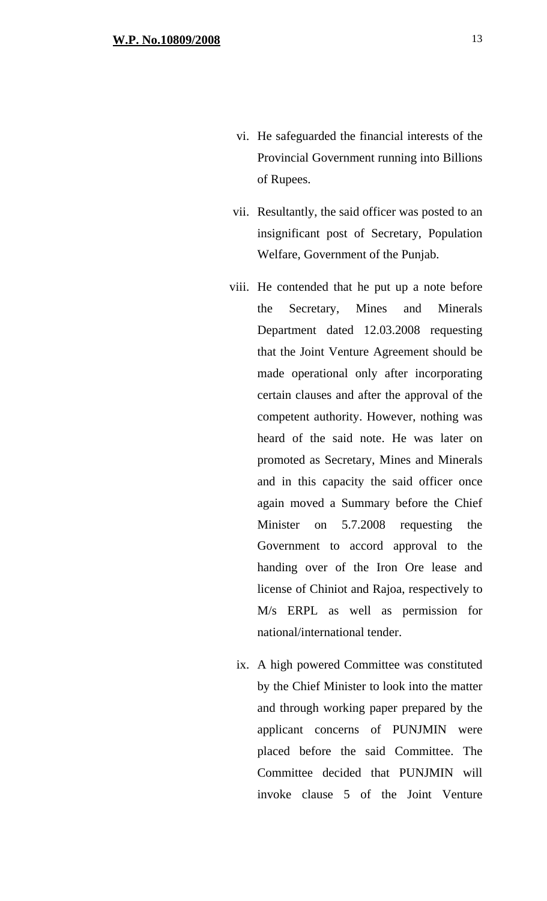- vi. He safeguarded the financial interests of the Provincial Government running into Billions of Rupees.
- vii. Resultantly, the said officer was posted to an insignificant post of Secretary, Population Welfare, Government of the Punjab.
- viii. He contended that he put up a note before the Secretary, Mines and Minerals Department dated 12.03.2008 requesting that the Joint Venture Agreement should be made operational only after incorporating certain clauses and after the approval of the competent authority. However, nothing was heard of the said note. He was later on promoted as Secretary, Mines and Minerals and in this capacity the said officer once again moved a Summary before the Chief Minister on 5.7.2008 requesting the Government to accord approval to the handing over of the Iron Ore lease and license of Chiniot and Rajoa, respectively to M/s ERPL as well as permission for national/international tender.
	- ix. A high powered Committee was constituted by the Chief Minister to look into the matter and through working paper prepared by the applicant concerns of PUNJMIN were placed before the said Committee. The Committee decided that PUNJMIN will invoke clause 5 of the Joint Venture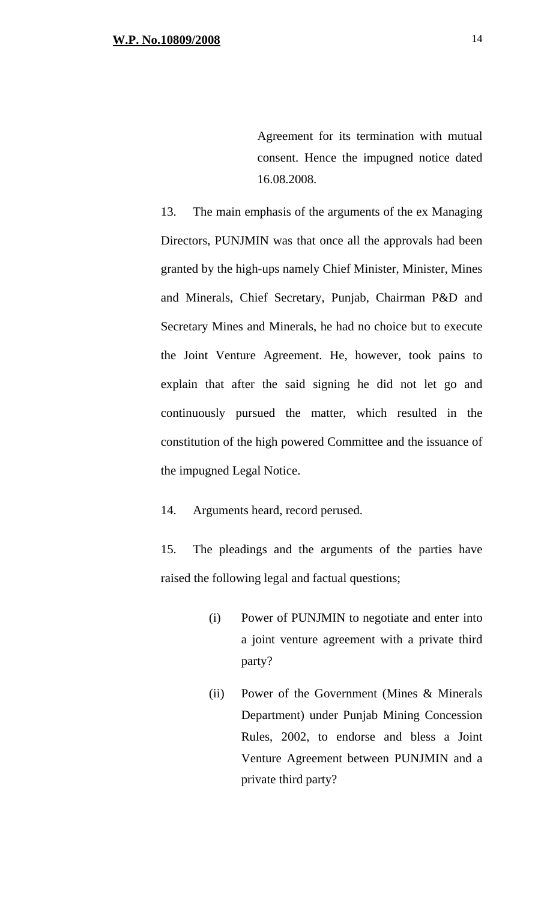Agreement for its termination with mutual consent. Hence the impugned notice dated 16.08.2008.

13. The main emphasis of the arguments of the ex Managing Directors, PUNJMIN was that once all the approvals had been granted by the high-ups namely Chief Minister, Minister, Mines and Minerals, Chief Secretary, Punjab, Chairman P&D and Secretary Mines and Minerals, he had no choice but to execute the Joint Venture Agreement. He, however, took pains to explain that after the said signing he did not let go and continuously pursued the matter, which resulted in the constitution of the high powered Committee and the issuance of the impugned Legal Notice.

14. Arguments heard, record perused.

15. The pleadings and the arguments of the parties have raised the following legal and factual questions;

- (i) Power of PUNJMIN to negotiate and enter into a joint venture agreement with a private third party?
- (ii) Power of the Government (Mines & Minerals Department) under Punjab Mining Concession Rules, 2002, to endorse and bless a Joint Venture Agreement between PUNJMIN and a private third party?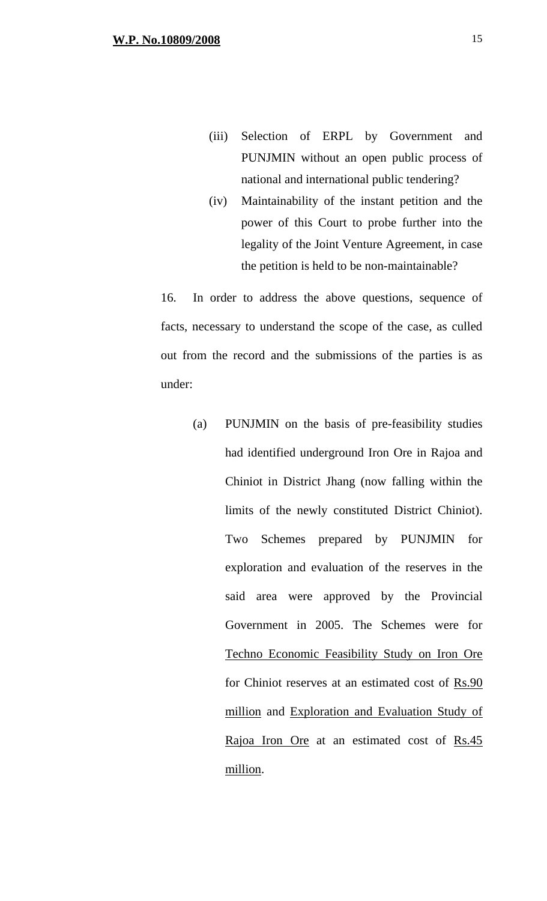- (iii) Selection of ERPL by Government and PUNJMIN without an open public process of national and international public tendering?
- (iv) Maintainability of the instant petition and the power of this Court to probe further into the legality of the Joint Venture Agreement, in case the petition is held to be non-maintainable?

16. In order to address the above questions, sequence of facts, necessary to understand the scope of the case, as culled out from the record and the submissions of the parties is as under:

(a) PUNJMIN on the basis of pre-feasibility studies had identified underground Iron Ore in Rajoa and Chiniot in District Jhang (now falling within the limits of the newly constituted District Chiniot). Two Schemes prepared by PUNJMIN for exploration and evaluation of the reserves in the said area were approved by the Provincial Government in 2005. The Schemes were for Techno Economic Feasibility Study on Iron Ore for Chiniot reserves at an estimated cost of  $\frac{Rs.90}{s}$ million and Exploration and Evaluation Study of Rajoa Iron Ore at an estimated cost of Rs.45 million.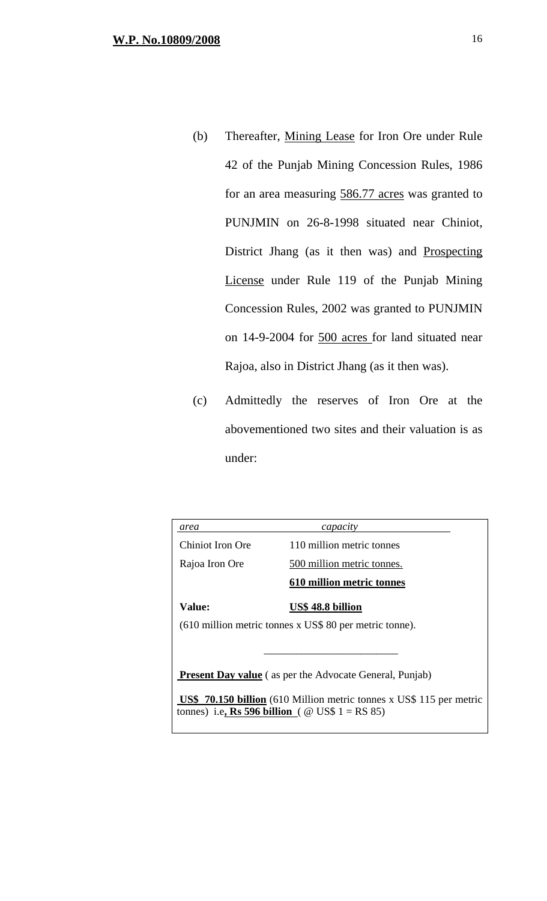- (b) Thereafter, Mining Lease for Iron Ore under Rule 42 of the Punjab Mining Concession Rules, 1986 for an area measuring 586.77 acres was granted to PUNJMIN on 26-8-1998 situated near Chiniot, District Jhang (as it then was) and Prospecting License under Rule 119 of the Punjab Mining Concession Rules, 2002 was granted to PUNJMIN on 14-9-2004 for 500 acres for land situated near Rajoa, also in District Jhang (as it then was).
- (c) Admittedly the reserves of Iron Ore at the abovementioned two sites and their valuation is as under:

| area                                                                                                                                         | capacity                   |  |
|----------------------------------------------------------------------------------------------------------------------------------------------|----------------------------|--|
| Chiniot Iron Ore                                                                                                                             | 110 million metric tonnes  |  |
| Rajoa Iron Ore                                                                                                                               | 500 million metric tonnes. |  |
|                                                                                                                                              | 610 million metric tonnes  |  |
| Value:                                                                                                                                       | US\$ 48.8 billion          |  |
| $(610$ million metric tonnes x US\$ 80 per metric tonne).                                                                                    |                            |  |
|                                                                                                                                              |                            |  |
| <b>Present Day value</b> (as per the Advocate General, Punjab)                                                                               |                            |  |
| <b>US\$</b> 70.150 billion (610 Million metric tonnes x US\$ 115 per metric<br>tonnes) i.e, <b>Rs 596 billion</b> ( $\omega$ US\$ 1 = RS 85) |                            |  |
|                                                                                                                                              |                            |  |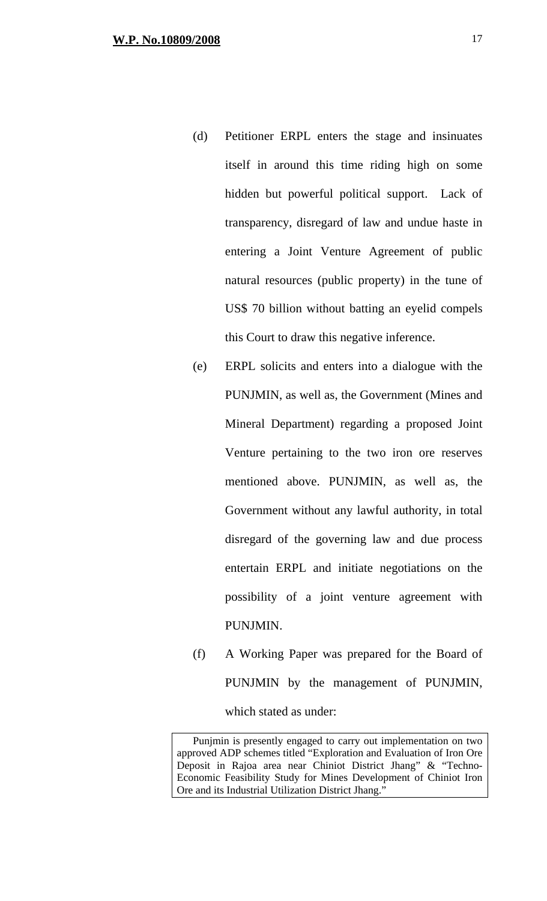- (d) Petitioner ERPL enters the stage and insinuates itself in around this time riding high on some hidden but powerful political support. Lack of transparency, disregard of law and undue haste in entering a Joint Venture Agreement of public natural resources (public property) in the tune of US\$ 70 billion without batting an eyelid compels this Court to draw this negative inference.
- (e) ERPL solicits and enters into a dialogue with the PUNJMIN, as well as, the Government (Mines and Mineral Department) regarding a proposed Joint Venture pertaining to the two iron ore reserves mentioned above. PUNJMIN, as well as, the Government without any lawful authority, in total disregard of the governing law and due process entertain ERPL and initiate negotiations on the possibility of a joint venture agreement with PUNJMIN.
- (f) A Working Paper was prepared for the Board of PUNJMIN by the management of PUNJMIN, which stated as under:

Punjmin is presently engaged to carry out implementation on two approved ADP schemes titled "Exploration and Evaluation of Iron Ore Deposit in Rajoa area near Chiniot District Jhang" & "Techno-Economic Feasibility Study for Mines Development of Chiniot Iron Ore and its Industrial Utilization District Jhang."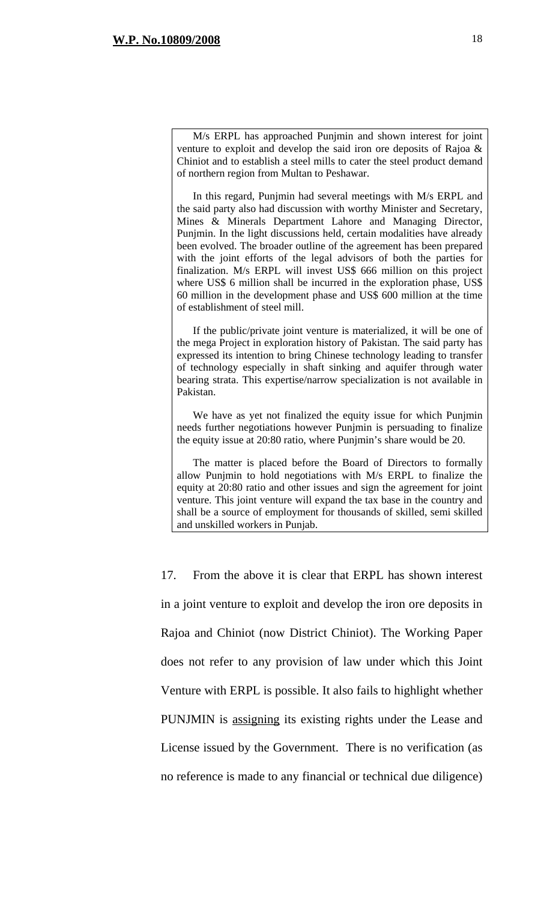M/s ERPL has approached Punjmin and shown interest for joint venture to exploit and develop the said iron ore deposits of Rajoa & Chiniot and to establish a steel mills to cater the steel product demand of northern region from Multan to Peshawar.

In this regard, Punjmin had several meetings with M/s ERPL and the said party also had discussion with worthy Minister and Secretary, Mines & Minerals Department Lahore and Managing Director, Punjmin. In the light discussions held, certain modalities have already been evolved. The broader outline of the agreement has been prepared with the joint efforts of the legal advisors of both the parties for finalization. M/s ERPL will invest US\$ 666 million on this project where US\$ 6 million shall be incurred in the exploration phase, US\$ 60 million in the development phase and US\$ 600 million at the time of establishment of steel mill.

If the public/private joint venture is materialized, it will be one of the mega Project in exploration history of Pakistan. The said party has expressed its intention to bring Chinese technology leading to transfer of technology especially in shaft sinking and aquifer through water bearing strata. This expertise/narrow specialization is not available in Pakistan.

We have as yet not finalized the equity issue for which Punjmin needs further negotiations however Punjmin is persuading to finalize the equity issue at 20:80 ratio, where Punjmin's share would be 20.

The matter is placed before the Board of Directors to formally allow Punjmin to hold negotiations with M/s ERPL to finalize the equity at 20:80 ratio and other issues and sign the agreement for joint venture. This joint venture will expand the tax base in the country and shall be a source of employment for thousands of skilled, semi skilled and unskilled workers in Punjab.

17. From the above it is clear that ERPL has shown interest in a joint venture to exploit and develop the iron ore deposits in Rajoa and Chiniot (now District Chiniot). The Working Paper does not refer to any provision of law under which this Joint Venture with ERPL is possible. It also fails to highlight whether PUNJMIN is assigning its existing rights under the Lease and License issued by the Government. There is no verification (as no reference is made to any financial or technical due diligence)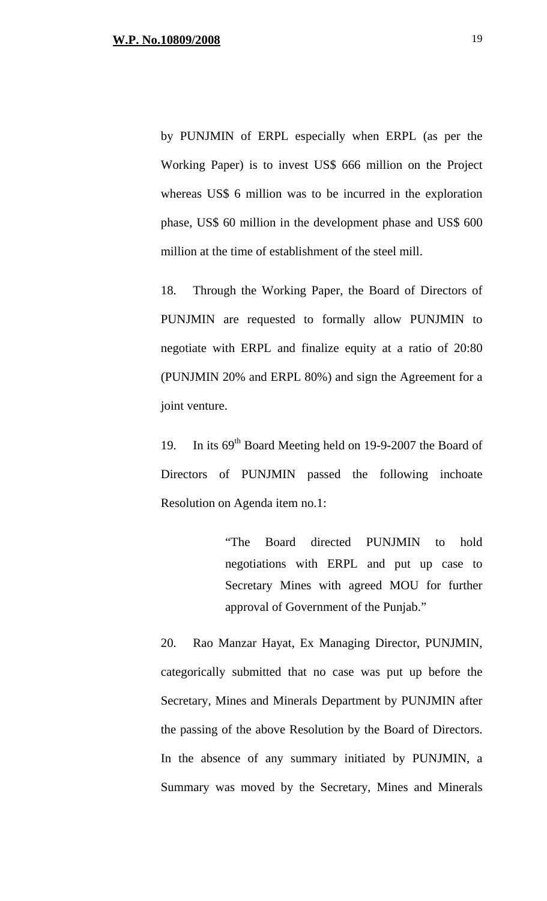by PUNJMIN of ERPL especially when ERPL (as per the Working Paper) is to invest US\$ 666 million on the Project whereas US\$ 6 million was to be incurred in the exploration phase, US\$ 60 million in the development phase and US\$ 600 million at the time of establishment of the steel mill.

18. Through the Working Paper, the Board of Directors of PUNJMIN are requested to formally allow PUNJMIN to negotiate with ERPL and finalize equity at a ratio of 20:80 (PUNJMIN 20% and ERPL 80%) and sign the Agreement for a joint venture.

19. In its 69<sup>th</sup> Board Meeting held on 19-9-2007 the Board of Directors of PUNJMIN passed the following inchoate Resolution on Agenda item no.1:

> "The Board directed PUNJMIN to hold negotiations with ERPL and put up case to Secretary Mines with agreed MOU for further approval of Government of the Punjab."

20. Rao Manzar Hayat, Ex Managing Director, PUNJMIN, categorically submitted that no case was put up before the Secretary, Mines and Minerals Department by PUNJMIN after the passing of the above Resolution by the Board of Directors. In the absence of any summary initiated by PUNJMIN, a Summary was moved by the Secretary, Mines and Minerals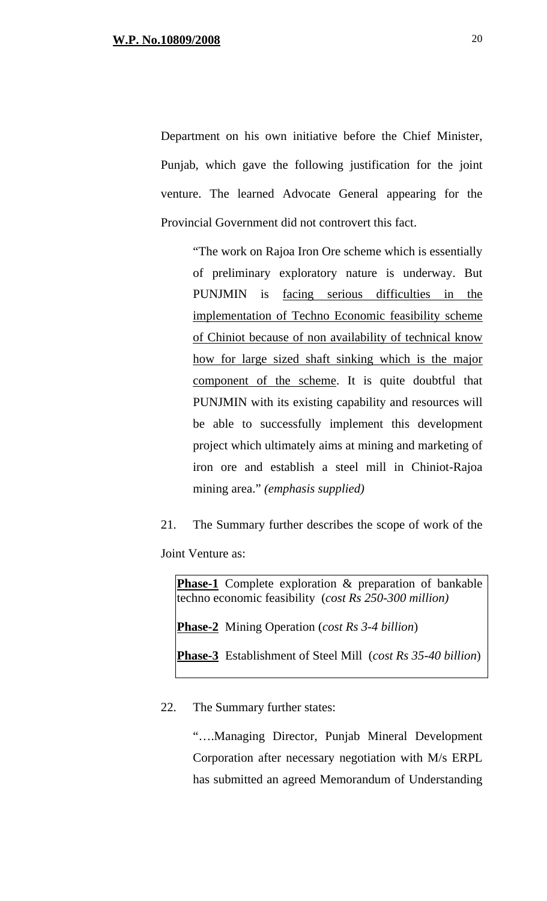Department on his own initiative before the Chief Minister, Punjab, which gave the following justification for the joint venture. The learned Advocate General appearing for the Provincial Government did not controvert this fact.

"The work on Rajoa Iron Ore scheme which is essentially of preliminary exploratory nature is underway. But PUNJMIN is facing serious difficulties in the implementation of Techno Economic feasibility scheme of Chiniot because of non availability of technical know how for large sized shaft sinking which is the major component of the scheme. It is quite doubtful that PUNJMIN with its existing capability and resources will be able to successfully implement this development project which ultimately aims at mining and marketing of iron ore and establish a steel mill in Chiniot-Rajoa mining area." *(emphasis supplied)*

21. The Summary further describes the scope of work of the Joint Venture as:

**Phase-1** Complete exploration & preparation of bankable techno economic feasibility (*cost Rs 250-300 million)*

**Phase-2** Mining Operation (*cost Rs 3-4 billion*)

**Phase-3** Establishment of Steel Mill (*cost Rs 35-40 billion*)

22. The Summary further states:

"….Managing Director, Punjab Mineral Development Corporation after necessary negotiation with M/s ERPL has submitted an agreed Memorandum of Understanding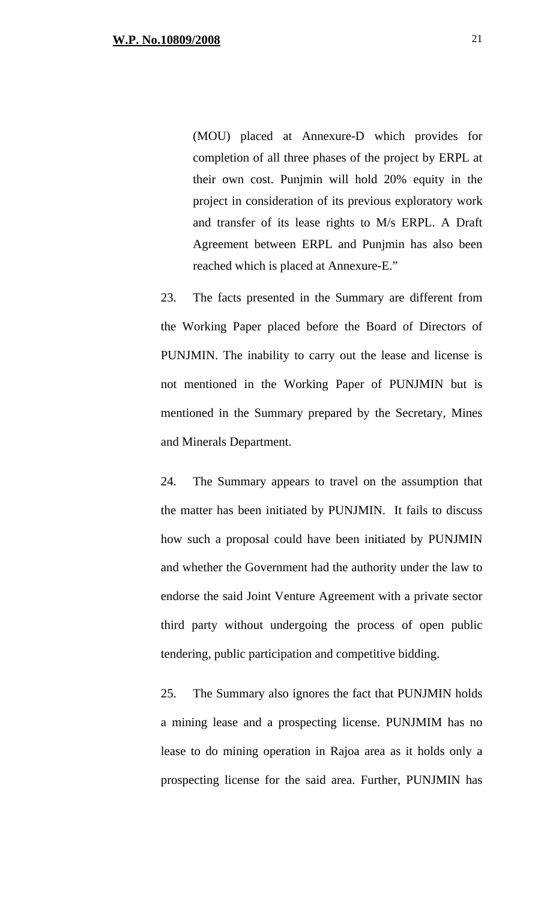(MOU) placed at Annexure-D which provides for completion of all three phases of the project by ERPL at their own cost. Punjmin will hold 20% equity in the project in consideration of its previous exploratory work and transfer of its lease rights to M/s ERPL. A Draft Agreement between ERPL and Punjmin has also been reached which is placed at Annexure-E."

23. The facts presented in the Summary are different from the Working Paper placed before the Board of Directors of PUNJMIN. The inability to carry out the lease and license is not mentioned in the Working Paper of PUNJMIN but is mentioned in the Summary prepared by the Secretary, Mines and Minerals Department.

24. The Summary appears to travel on the assumption that the matter has been initiated by PUNJMIN. It fails to discuss how such a proposal could have been initiated by PUNJMIN and whether the Government had the authority under the law to endorse the said Joint Venture Agreement with a private sector third party without undergoing the process of open public tendering, public participation and competitive bidding.

25. The Summary also ignores the fact that PUNJMIN holds a mining lease and a prospecting license. PUNJMIM has no lease to do mining operation in Rajoa area as it holds only a prospecting license for the said area. Further, PUNJMIN has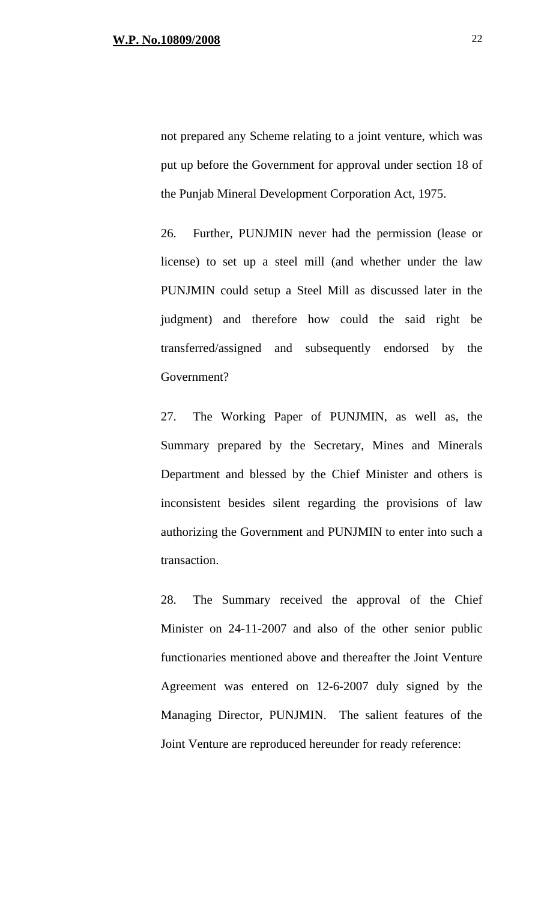not prepared any Scheme relating to a joint venture, which was put up before the Government for approval under section 18 of the Punjab Mineral Development Corporation Act, 1975.

26. Further, PUNJMIN never had the permission (lease or license) to set up a steel mill (and whether under the law PUNJMIN could setup a Steel Mill as discussed later in the judgment) and therefore how could the said right be transferred/assigned and subsequently endorsed by the Government?

27. The Working Paper of PUNJMIN, as well as, the Summary prepared by the Secretary, Mines and Minerals Department and blessed by the Chief Minister and others is inconsistent besides silent regarding the provisions of law authorizing the Government and PUNJMIN to enter into such a transaction.

28. The Summary received the approval of the Chief Minister on 24-11-2007 and also of the other senior public functionaries mentioned above and thereafter the Joint Venture Agreement was entered on 12-6-2007 duly signed by the Managing Director, PUNJMIN. The salient features of the Joint Venture are reproduced hereunder for ready reference: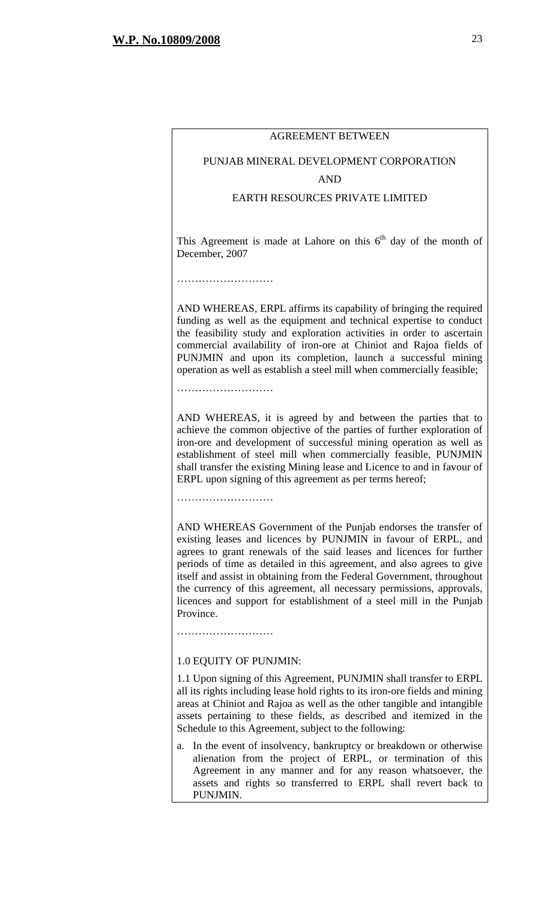#### AGREEMENT BETWEEN

# PUNJAB MINERAL DEVELOPMENT CORPORATION

#### AND

#### EARTH RESOURCES PRIVATE LIMITED

This Agreement is made at Lahore on this  $6<sup>th</sup>$  day of the month of December, 2007

AND WHEREAS, ERPL affirms its capability of bringing the required funding as well as the equipment and technical expertise to conduct the feasibility study and exploration activities in order to ascertain commercial availability of iron-ore at Chiniot and Rajoa fields of PUNJMIN and upon its completion, launch a successful mining operation as well as establish a steel mill when commercially feasible;

…………………………

………………………………

AND WHEREAS, it is agreed by and between the parties that to achieve the common objective of the parties of further exploration of iron-ore and development of successful mining operation as well as establishment of steel mill when commercially feasible, PUNJMIN shall transfer the existing Mining lease and Licence to and in favour of ERPL upon signing of this agreement as per terms hereof;

………………………

AND WHEREAS Government of the Punjab endorses the transfer of existing leases and licences by PUNJMIN in favour of ERPL, and agrees to grant renewals of the said leases and licences for further periods of time as detailed in this agreement, and also agrees to give itself and assist in obtaining from the Federal Government, throughout the currency of this agreement, all necessary permissions, approvals, licences and support for establishment of a steel mill in the Punjab Province.

………………………

#### 1.0 EQUITY OF PUNJMIN:

1.1 Upon signing of this Agreement, PUNJMIN shall transfer to ERPL all its rights including lease hold rights to its iron-ore fields and mining areas at Chiniot and Rajoa as well as the other tangible and intangible assets pertaining to these fields, as described and itemized in the Schedule to this Agreement, subject to the following:

a. In the event of insolvency, bankruptcy or breakdown or otherwise alienation from the project of ERPL, or termination of this Agreement in any manner and for any reason whatsoever, the assets and rights so transferred to ERPL shall revert back to PUNJMIN.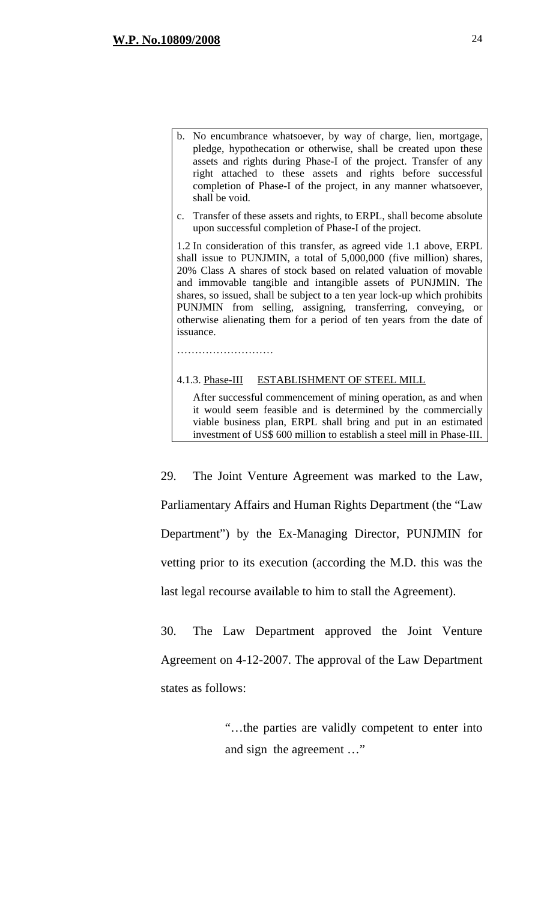- b. No encumbrance whatsoever, by way of charge, lien, mortgage, pledge, hypothecation or otherwise, shall be created upon these assets and rights during Phase-I of the project. Transfer of any right attached to these assets and rights before successful completion of Phase-I of the project, in any manner whatsoever, shall be void.
- c. Transfer of these assets and rights, to ERPL, shall become absolute upon successful completion of Phase-I of the project.

1.2 In consideration of this transfer, as agreed vide 1.1 above, ERPL shall issue to PUNJMIN, a total of 5,000,000 (five million) shares, 20% Class A shares of stock based on related valuation of movable and immovable tangible and intangible assets of PUNJMIN. The shares, so issued, shall be subject to a ten year lock-up which prohibits PUNJMIN from selling, assigning, transferring, conveying, or otherwise alienating them for a period of ten years from the date of issuance.

4.1.3. Phase-III ESTABLISHMENT OF STEEL MILL

………………………

 After successful commencement of mining operation, as and when it would seem feasible and is determined by the commercially viable business plan, ERPL shall bring and put in an estimated investment of US\$ 600 million to establish a steel mill in Phase-III.

29. The Joint Venture Agreement was marked to the Law, Parliamentary Affairs and Human Rights Department (the "Law Department") by the Ex-Managing Director, PUNJMIN for vetting prior to its execution (according the M.D. this was the last legal recourse available to him to stall the Agreement).

30. The Law Department approved the Joint Venture Agreement on 4-12-2007. The approval of the Law Department states as follows:

> "…the parties are validly competent to enter into and sign the agreement …"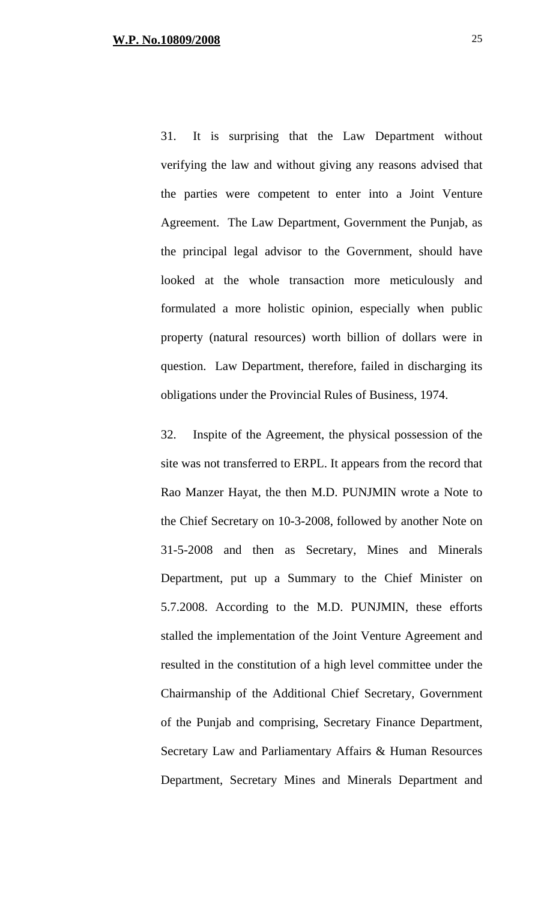31. It is surprising that the Law Department without verifying the law and without giving any reasons advised that the parties were competent to enter into a Joint Venture Agreement. The Law Department, Government the Punjab, as the principal legal advisor to the Government, should have looked at the whole transaction more meticulously and formulated a more holistic opinion, especially when public property (natural resources) worth billion of dollars were in question. Law Department, therefore, failed in discharging its obligations under the Provincial Rules of Business, 1974.

32. Inspite of the Agreement, the physical possession of the site was not transferred to ERPL. It appears from the record that Rao Manzer Hayat, the then M.D. PUNJMIN wrote a Note to the Chief Secretary on 10-3-2008, followed by another Note on 31-5-2008 and then as Secretary, Mines and Minerals Department, put up a Summary to the Chief Minister on 5.7.2008. According to the M.D. PUNJMIN, these efforts stalled the implementation of the Joint Venture Agreement and resulted in the constitution of a high level committee under the Chairmanship of the Additional Chief Secretary, Government of the Punjab and comprising, Secretary Finance Department, Secretary Law and Parliamentary Affairs & Human Resources Department, Secretary Mines and Minerals Department and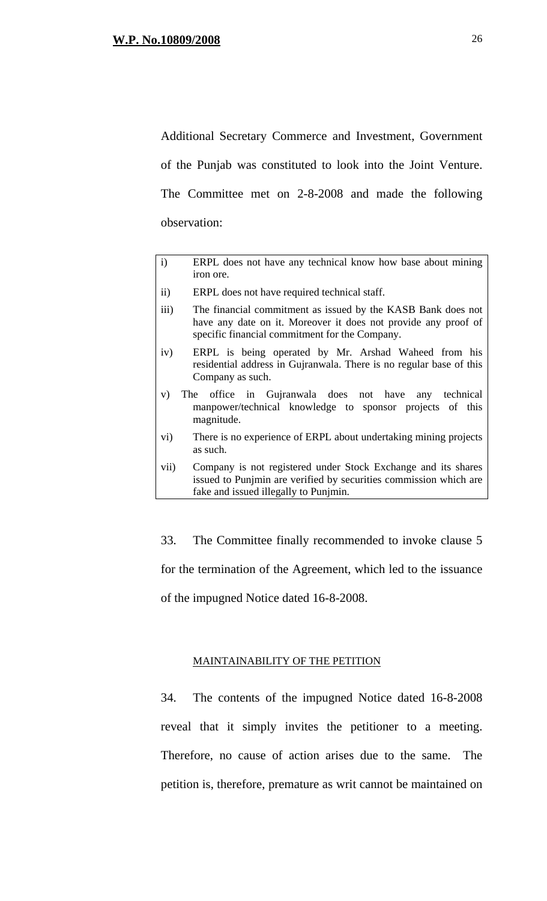Additional Secretary Commerce and Investment, Government of the Punjab was constituted to look into the Joint Venture. The Committee met on 2-8-2008 and made the following observation:

- i) ERPL does not have any technical know how base about mining iron ore.
- ii) ERPL does not have required technical staff.
- iii) The financial commitment as issued by the KASB Bank does not have any date on it. Moreover it does not provide any proof of specific financial commitment for the Company.
- iv) ERPL is being operated by Mr. Arshad Waheed from his residential address in Gujranwala. There is no regular base of this Company as such.
- v) The office in Gujranwala does not have any technical manpower/technical knowledge to sponsor projects of this magnitude.
- vi) There is no experience of ERPL about undertaking mining projects as such.
- vii) Company is not registered under Stock Exchange and its shares issued to Punjmin are verified by securities commission which are fake and issued illegally to Punjmin.

33. The Committee finally recommended to invoke clause 5 for the termination of the Agreement, which led to the issuance of the impugned Notice dated 16-8-2008.

#### MAINTAINABILITY OF THE PETITION

34. The contents of the impugned Notice dated 16-8-2008 reveal that it simply invites the petitioner to a meeting. Therefore, no cause of action arises due to the same. The petition is, therefore, premature as writ cannot be maintained on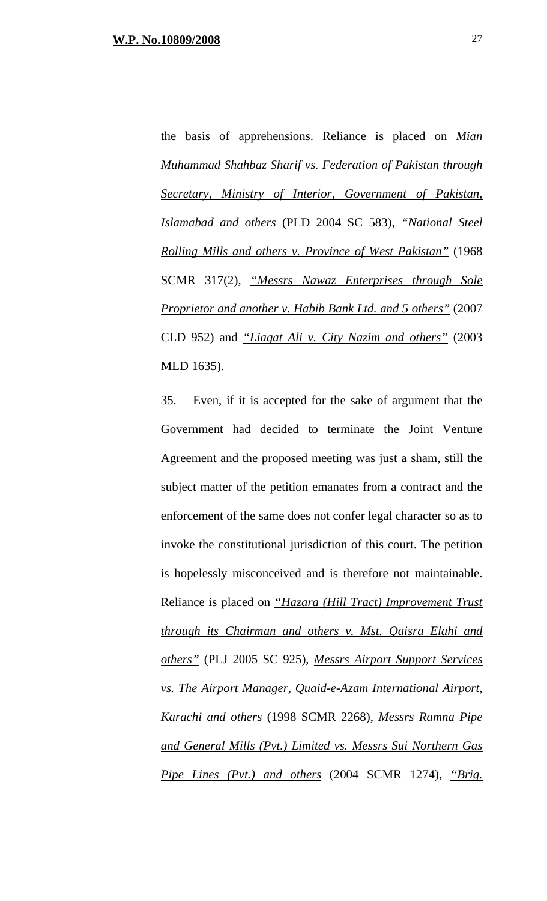the basis of apprehensions. Reliance is placed on *Mian Muhammad Shahbaz Sharif vs. Federation of Pakistan through Secretary, Ministry of Interior, Government of Pakistan, Islamabad and others* (PLD 2004 SC 583), *"National Steel Rolling Mills and others v. Province of West Pakistan"* (1968 SCMR 317(2), *"Messrs Nawaz Enterprises through Sole Proprietor and another v. Habib Bank Ltd. and 5 others"* (2007 CLD 952) and *"Liaqat Ali v. City Nazim and others"* (2003 MLD 1635).

35. Even, if it is accepted for the sake of argument that the Government had decided to terminate the Joint Venture Agreement and the proposed meeting was just a sham, still the subject matter of the petition emanates from a contract and the enforcement of the same does not confer legal character so as to invoke the constitutional jurisdiction of this court. The petition is hopelessly misconceived and is therefore not maintainable. Reliance is placed on *"Hazara (Hill Tract) Improvement Trust through its Chairman and others v. Mst. Qaisra Elahi and others"* (PLJ 2005 SC 925), *Messrs Airport Support Services vs. The Airport Manager, Quaid-e-Azam International Airport, Karachi and others* (1998 SCMR 2268), *Messrs Ramna Pipe and General Mills (Pvt.) Limited vs. Messrs Sui Northern Gas Pipe Lines (Pvt.) and others* (2004 SCMR 1274), *"Brig.*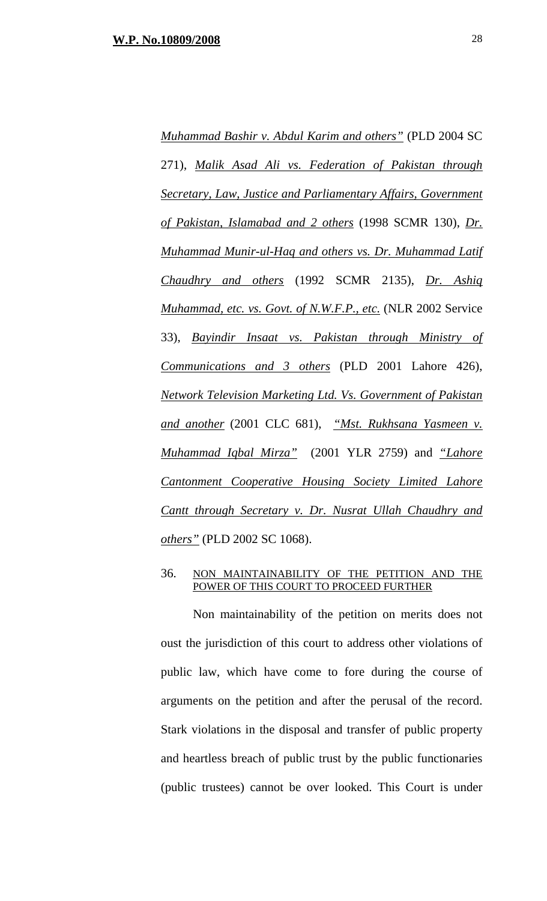*Muhammad Bashir v. Abdul Karim and others"* (PLD 2004 SC 271), *Malik Asad Ali vs. Federation of Pakistan through Secretary, Law, Justice and Parliamentary Affairs, Government of Pakistan, Islamabad and 2 others* (1998 SCMR 130), *Dr. Muhammad Munir-ul-Haq and others vs. Dr. Muhammad Latif Chaudhry and others* (1992 SCMR 2135), *Dr. Ashiq Muhammad, etc. vs. Govt. of N.W.F.P., etc.* (NLR 2002 Service 33), *Bayindir Insaat vs. Pakistan through Ministry of Communications and 3 others* (PLD 2001 Lahore 426), *Network Television Marketing Ltd. Vs. Government of Pakistan and another* (2001 CLC 681), *"Mst. Rukhsana Yasmeen v. Muhammad Iqbal Mirza"* (2001 YLR 2759) and *"Lahore Cantonment Cooperative Housing Society Limited Lahore Cantt through Secretary v. Dr. Nusrat Ullah Chaudhry and others"* (PLD 2002 SC 1068).

#### 36. NON MAINTAINABILITY OF THE PETITION AND THE POWER OF THIS COURT TO PROCEED FURTHER

 Non maintainability of the petition on merits does not oust the jurisdiction of this court to address other violations of public law, which have come to fore during the course of arguments on the petition and after the perusal of the record. Stark violations in the disposal and transfer of public property and heartless breach of public trust by the public functionaries (public trustees) cannot be over looked. This Court is under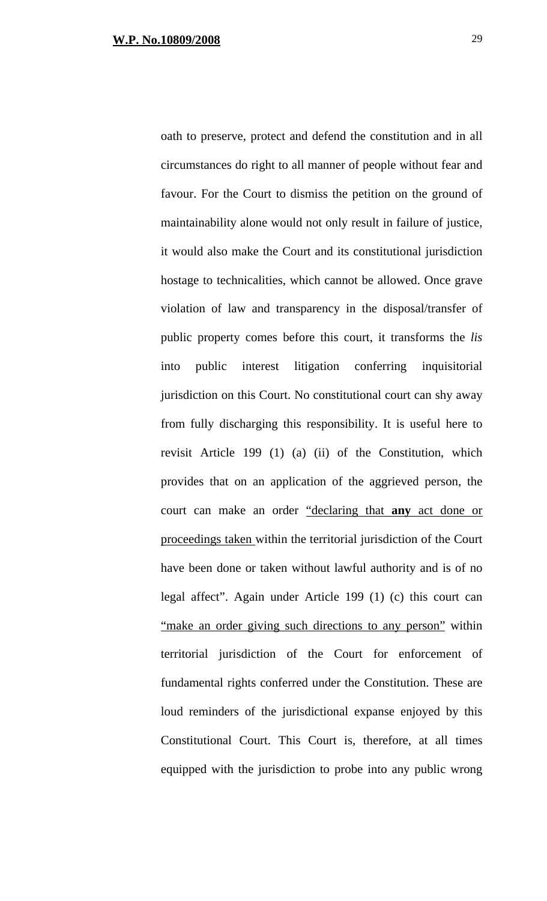oath to preserve, protect and defend the constitution and in all circumstances do right to all manner of people without fear and favour. For the Court to dismiss the petition on the ground of maintainability alone would not only result in failure of justice, it would also make the Court and its constitutional jurisdiction hostage to technicalities, which cannot be allowed. Once grave violation of law and transparency in the disposal/transfer of public property comes before this court, it transforms the *lis* into public interest litigation conferring inquisitorial jurisdiction on this Court. No constitutional court can shy away from fully discharging this responsibility. It is useful here to revisit Article 199 (1) (a) (ii) of the Constitution, which provides that on an application of the aggrieved person, the court can make an order "declaring that **any** act done or proceedings taken within the territorial jurisdiction of the Court have been done or taken without lawful authority and is of no legal affect". Again under Article 199 (1) (c) this court can "make an order giving such directions to any person" within territorial jurisdiction of the Court for enforcement of fundamental rights conferred under the Constitution. These are loud reminders of the jurisdictional expanse enjoyed by this Constitutional Court. This Court is, therefore, at all times equipped with the jurisdiction to probe into any public wrong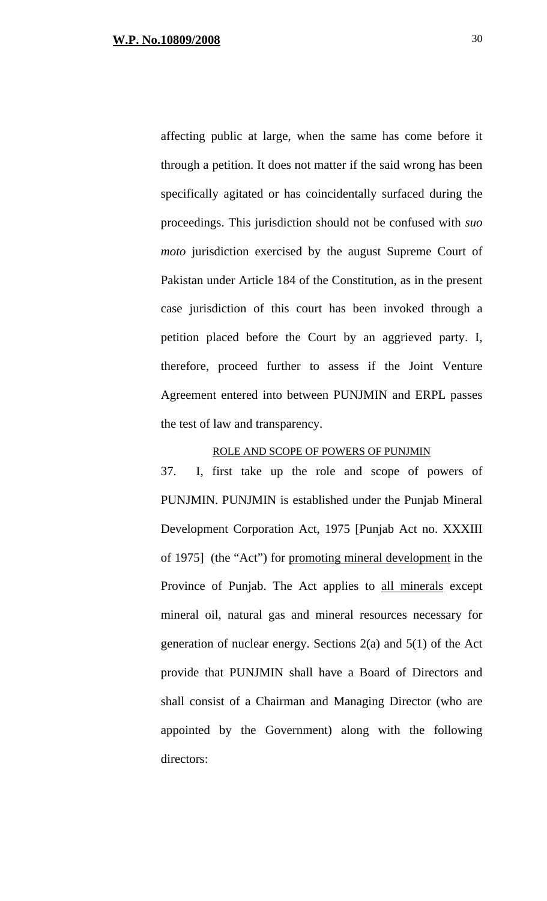affecting public at large, when the same has come before it through a petition. It does not matter if the said wrong has been specifically agitated or has coincidentally surfaced during the proceedings. This jurisdiction should not be confused with *suo moto* jurisdiction exercised by the august Supreme Court of Pakistan under Article 184 of the Constitution, as in the present case jurisdiction of this court has been invoked through a petition placed before the Court by an aggrieved party. I, therefore, proceed further to assess if the Joint Venture Agreement entered into between PUNJMIN and ERPL passes the test of law and transparency.

# ROLE AND SCOPE OF POWERS OF PUNJMIN

37. I, first take up the role and scope of powers of PUNJMIN. PUNJMIN is established under the Punjab Mineral Development Corporation Act, 1975 [Punjab Act no. XXXIII of 1975] (the "Act") for promoting mineral development in the Province of Punjab. The Act applies to all minerals except mineral oil, natural gas and mineral resources necessary for generation of nuclear energy. Sections 2(a) and 5(1) of the Act provide that PUNJMIN shall have a Board of Directors and shall consist of a Chairman and Managing Director (who are appointed by the Government) along with the following directors: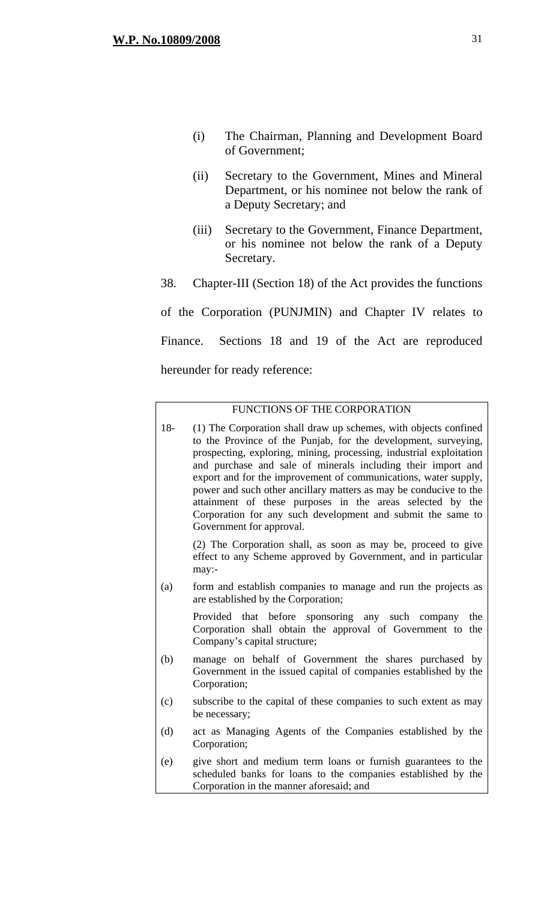- (i) The Chairman, Planning and Development Board of Government;
- (ii) Secretary to the Government, Mines and Mineral Department, or his nominee not below the rank of a Deputy Secretary; and
- (iii) Secretary to the Government, Finance Department, or his nominee not below the rank of a Deputy Secretary.
- 38. Chapter-III (Section 18) of the Act provides the functions

of the Corporation (PUNJMIN) and Chapter IV relates to Finance. Sections 18 and 19 of the Act are reproduced hereunder for ready reference:

## FUNCTIONS OF THE CORPORATION

18- (1) The Corporation shall draw up schemes, with objects confined to the Province of the Punjab, for the development, surveying, prospecting, exploring, mining, processing, industrial exploitation and purchase and sale of minerals including their import and export and for the improvement of communications, water supply, power and such other ancillary matters as may be conducive to the attainment of these purposes in the areas selected by the Corporation for any such development and submit the same to Government for approval. (2) The Corporation shall, as soon as may be, proceed to give effect to any Scheme approved by Government, and in particular may:- (a) form and establish companies to manage and run the projects as are established by the Corporation; Provided that before sponsoring any such company the Corporation shall obtain the approval of Government to the Company's capital structure; (b) manage on behalf of Government the shares purchased by Government in the issued capital of companies established by the Corporation; (c) subscribe to the capital of these companies to such extent as may be necessary; (d) act as Managing Agents of the Companies established by the Corporation; (e) give short and medium term loans or furnish guarantees to the scheduled banks for loans to the companies established by the Corporation in the manner aforesaid; and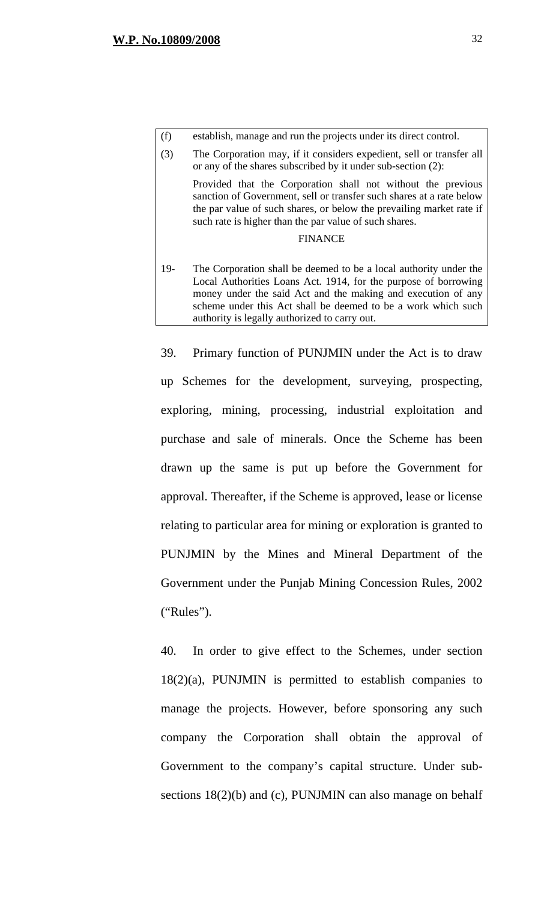| (f)   | establish, manage and run the projects under its direct control.                                                                                                                                                                                                                                                       |
|-------|------------------------------------------------------------------------------------------------------------------------------------------------------------------------------------------------------------------------------------------------------------------------------------------------------------------------|
| (3)   | The Corporation may, if it considers expedient, sell or transfer all<br>or any of the shares subscribed by it under sub-section (2):                                                                                                                                                                                   |
|       | Provided that the Corporation shall not without the previous<br>sanction of Government, sell or transfer such shares at a rate below<br>the par value of such shares, or below the prevailing market rate if<br>such rate is higher than the par value of such shares.                                                 |
|       | <b>FINANCE</b>                                                                                                                                                                                                                                                                                                         |
| $19-$ | The Corporation shall be deemed to be a local authority under the<br>Local Authorities Loans Act. 1914, for the purpose of borrowing<br>money under the said Act and the making and execution of any<br>scheme under this Act shall be deemed to be a work which such<br>authority is legally authorized to carry out. |

39. Primary function of PUNJMIN under the Act is to draw up Schemes for the development, surveying, prospecting, exploring, mining, processing, industrial exploitation and purchase and sale of minerals. Once the Scheme has been drawn up the same is put up before the Government for approval. Thereafter, if the Scheme is approved, lease or license relating to particular area for mining or exploration is granted to PUNJMIN by the Mines and Mineral Department of the Government under the Punjab Mining Concession Rules, 2002 ("Rules").

40. In order to give effect to the Schemes, under section 18(2)(a), PUNJMIN is permitted to establish companies to manage the projects. However, before sponsoring any such company the Corporation shall obtain the approval of Government to the company's capital structure. Under subsections 18(2)(b) and (c), PUNJMIN can also manage on behalf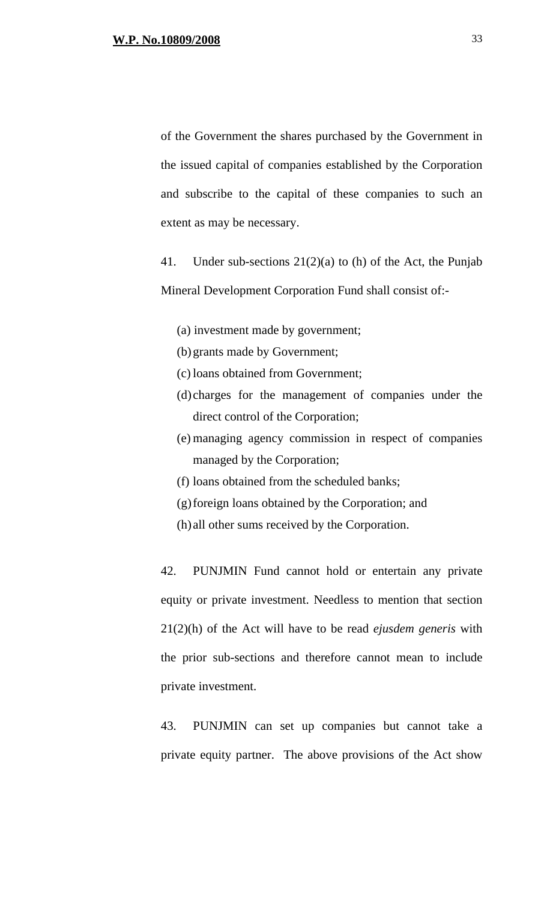of the Government the shares purchased by the Government in the issued capital of companies established by the Corporation and subscribe to the capital of these companies to such an extent as may be necessary.

41. Under sub-sections 21(2)(a) to (h) of the Act, the Punjab Mineral Development Corporation Fund shall consist of:-

- (a) investment made by government;
- (b) grants made by Government;
- (c) loans obtained from Government;
- (d) charges for the management of companies under the direct control of the Corporation;
- (e) managing agency commission in respect of companies managed by the Corporation;
- (f) loans obtained from the scheduled banks;
- (g)foreign loans obtained by the Corporation; and
- (h) all other sums received by the Corporation.

42. PUNJMIN Fund cannot hold or entertain any private equity or private investment. Needless to mention that section 21(2)(h) of the Act will have to be read *ejusdem generis* with the prior sub-sections and therefore cannot mean to include private investment.

43. PUNJMIN can set up companies but cannot take a private equity partner. The above provisions of the Act show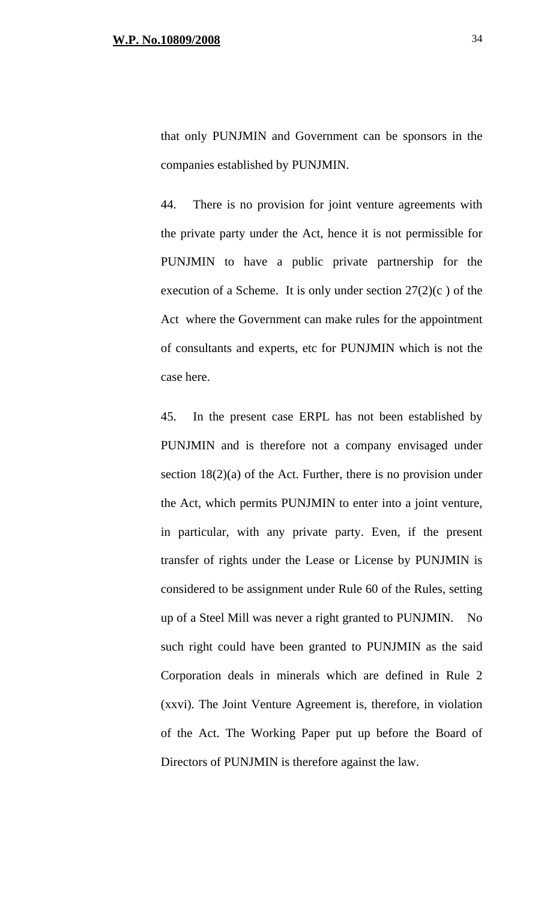that only PUNJMIN and Government can be sponsors in the companies established by PUNJMIN.

44. There is no provision for joint venture agreements with the private party under the Act, hence it is not permissible for PUNJMIN to have a public private partnership for the execution of a Scheme. It is only under section  $27(2)(c)$  of the Act where the Government can make rules for the appointment of consultants and experts, etc for PUNJMIN which is not the case here.

45. In the present case ERPL has not been established by PUNJMIN and is therefore not a company envisaged under section  $18(2)(a)$  of the Act. Further, there is no provision under the Act, which permits PUNJMIN to enter into a joint venture, in particular, with any private party. Even, if the present transfer of rights under the Lease or License by PUNJMIN is considered to be assignment under Rule 60 of the Rules, setting up of a Steel Mill was never a right granted to PUNJMIN. No such right could have been granted to PUNJMIN as the said Corporation deals in minerals which are defined in Rule 2 (xxvi). The Joint Venture Agreement is, therefore, in violation of the Act. The Working Paper put up before the Board of Directors of PUNJMIN is therefore against the law.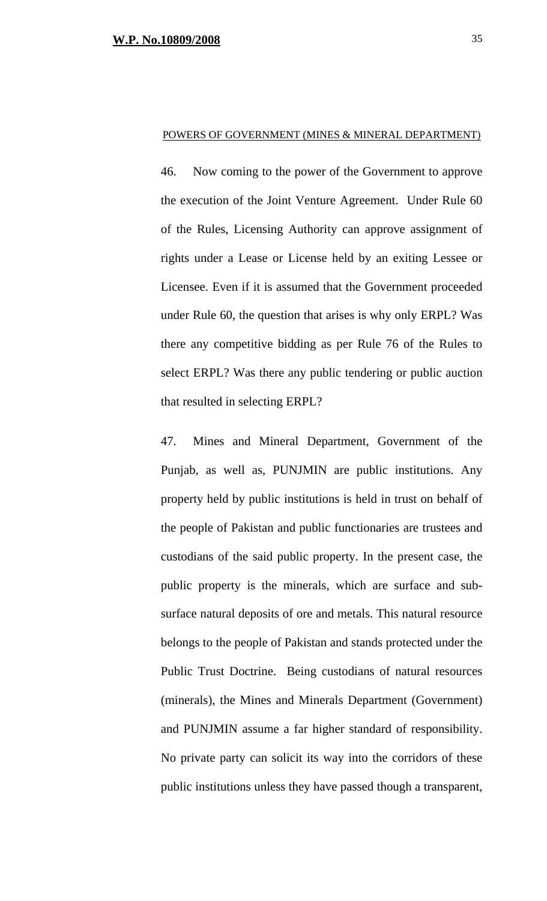46. Now coming to the power of the Government to approve the execution of the Joint Venture Agreement. Under Rule 60 of the Rules, Licensing Authority can approve assignment of rights under a Lease or License held by an exiting Lessee or Licensee. Even if it is assumed that the Government proceeded under Rule 60, the question that arises is why only ERPL? Was there any competitive bidding as per Rule 76 of the Rules to select ERPL? Was there any public tendering or public auction that resulted in selecting ERPL?

POWERS OF GOVERNMENT (MINES & MINERAL DEPARTMENT)

47. Mines and Mineral Department, Government of the Punjab, as well as, PUNJMIN are public institutions. Any property held by public institutions is held in trust on behalf of the people of Pakistan and public functionaries are trustees and custodians of the said public property. In the present case, the public property is the minerals, which are surface and subsurface natural deposits of ore and metals. This natural resource belongs to the people of Pakistan and stands protected under the Public Trust Doctrine. Being custodians of natural resources (minerals), the Mines and Minerals Department (Government) and PUNJMIN assume a far higher standard of responsibility. No private party can solicit its way into the corridors of these public institutions unless they have passed though a transparent,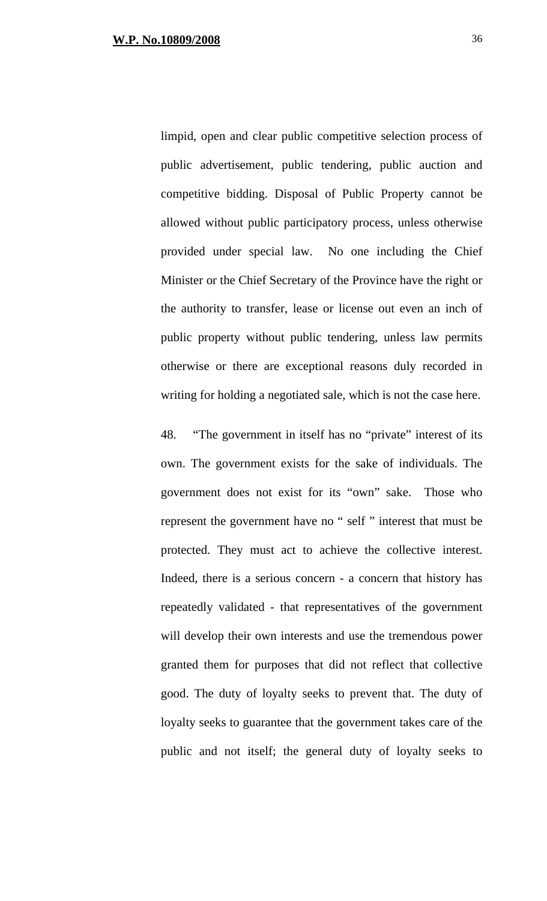limpid, open and clear public competitive selection process of public advertisement, public tendering, public auction and competitive bidding. Disposal of Public Property cannot be allowed without public participatory process, unless otherwise provided under special law. No one including the Chief Minister or the Chief Secretary of the Province have the right or the authority to transfer, lease or license out even an inch of public property without public tendering, unless law permits otherwise or there are exceptional reasons duly recorded in writing for holding a negotiated sale, which is not the case here.

48. "The government in itself has no "private" interest of its own. The government exists for the sake of individuals. The government does not exist for its "own" sake. Those who represent the government have no " self " interest that must be protected. They must act to achieve the collective interest. Indeed, there is a serious concern - a concern that history has repeatedly validated - that representatives of the government will develop their own interests and use the tremendous power granted them for purposes that did not reflect that collective good. The duty of loyalty seeks to prevent that. The duty of loyalty seeks to guarantee that the government takes care of the public and not itself; the general duty of loyalty seeks to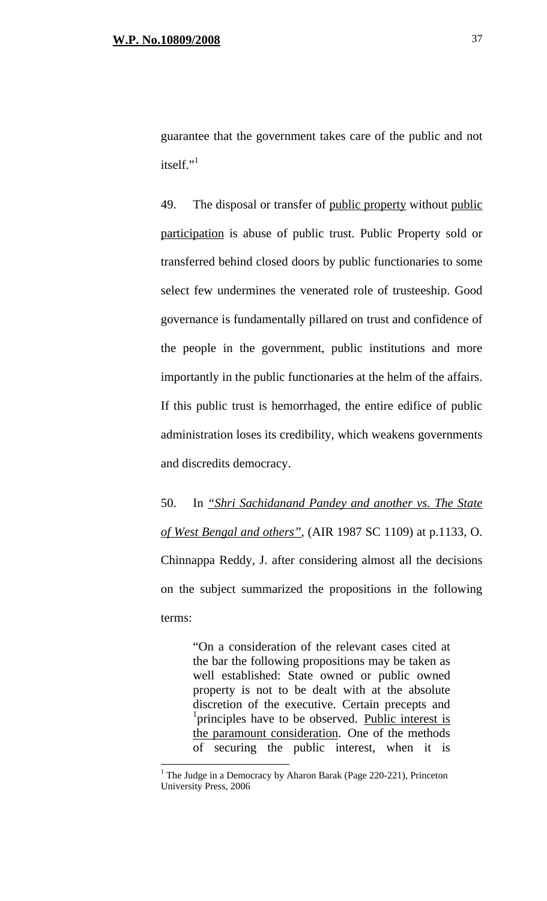guarantee that the government takes care of the public and not itself."

49. The disposal or transfer of public property without public participation is abuse of public trust. Public Property sold or transferred behind closed doors by public functionaries to some select few undermines the venerated role of trusteeship. Good governance is fundamentally pillared on trust and confidence of the people in the government, public institutions and more importantly in the public functionaries at the helm of the affairs. If this public trust is hemorrhaged, the entire edifice of public administration loses its credibility, which weakens governments and discredits democracy.

50. In *"Shri Sachidanand Pandey and another vs. The State of West Bengal and others"*, (AIR 1987 SC 1109) at p.1133, O. Chinnappa Reddy, J. after considering almost all the decisions on the subject summarized the propositions in the following terms:

"On a consideration of the relevant cases cited at the bar the following propositions may be taken as well established: State owned or public owned property is not to be dealt with at the absolute discretion of the executive. Certain precepts and <sup>1</sup>principles have to be observed. Public interest is the paramount consideration. One of the methods of securing the public interest, when it is

 $\overline{a}$ 

<sup>&</sup>lt;sup>1</sup> The Judge in a Democracy by Aharon Barak (Page 220-221), Princeton University Press, 2006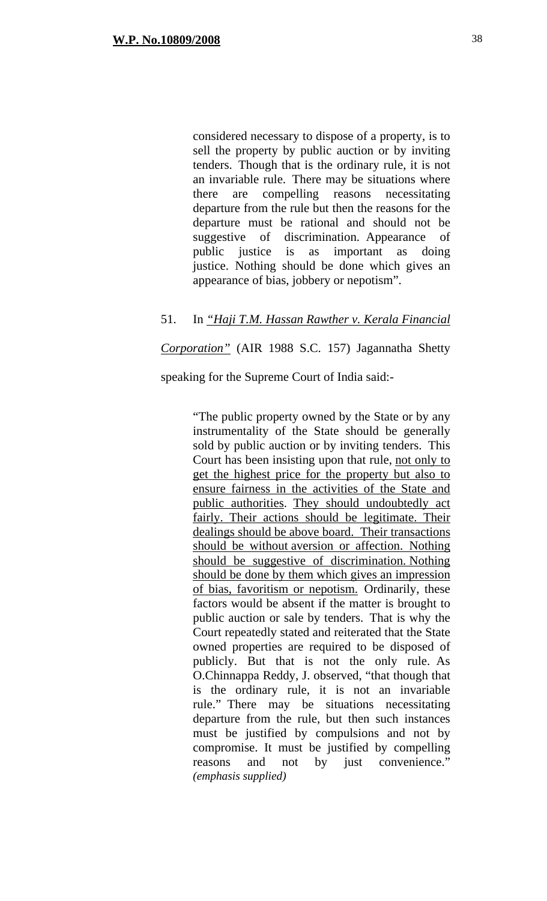considered necessary to dispose of a property, is to sell the property by public auction or by inviting tenders. Though that is the ordinary rule, it is not an invariable rule. There may be situations where there are compelling reasons necessitating departure from the rule but then the reasons for the departure must be rational and should not be suggestive of discrimination. Appearance of public justice is as important as doing justice. Nothing should be done which gives an appearance of bias, jobbery or nepotism".

# 51. In *"Haji T.M. Hassan Rawther v. Kerala Financial*

*Corporation"* (AIR 1988 S.C. 157) Jagannatha Shetty

speaking for the Supreme Court of India said:-

"The public property owned by the State or by any instrumentality of the State should be generally sold by public auction or by inviting tenders. This Court has been insisting upon that rule, not only to get the highest price for the property but also to ensure fairness in the activities of the State and public authorities. They should undoubtedly act fairly. Their actions should be legitimate. Their dealings should be above board. Their transactions should be without aversion or affection. Nothing should be suggestive of discrimination. Nothing should be done by them which gives an impression of bias, favoritism or nepotism. Ordinarily, these factors would be absent if the matter is brought to public auction or sale by tenders. That is why the Court repeatedly stated and reiterated that the State owned properties are required to be disposed of publicly. But that is not the only rule. As O.Chinnappa Reddy, J. observed, "that though that is the ordinary rule, it is not an invariable rule." There may be situations necessitating departure from the rule, but then such instances must be justified by compulsions and not by compromise. It must be justified by compelling reasons and not by just convenience." *(emphasis supplied)*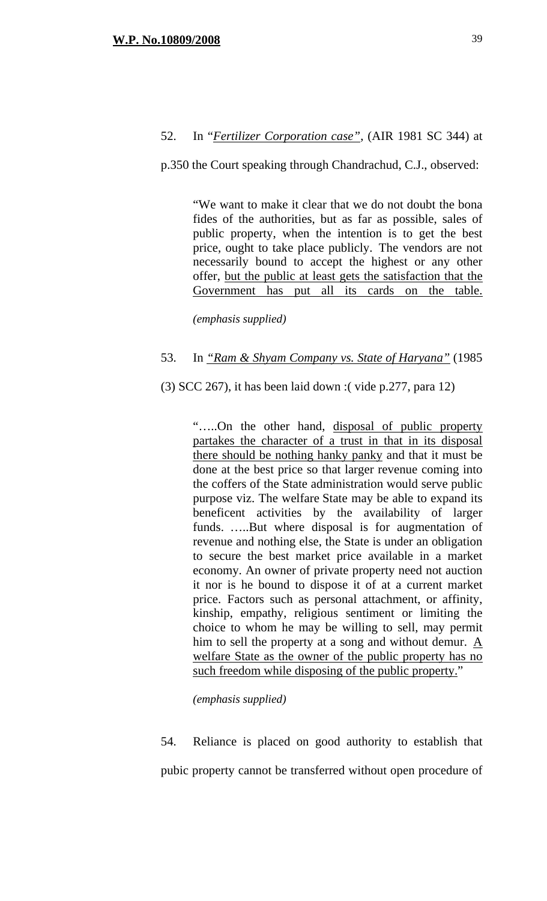# 52. In "*Fertilizer Corporation case"*, (AIR 1981 SC 344) at

#### p.350 the Court speaking through Chandrachud, C.J., observed:

"We want to make it clear that we do not doubt the bona fides of the authorities, but as far as possible, sales of public property, when the intention is to get the best price, ought to take place publicly. The vendors are not necessarily bound to accept the highest or any other offer, but the public at least gets the satisfaction that the Government has put all its cards on the table.

*(emphasis supplied)*

### 53. In *"Ram & Shyam Company vs. State of Haryana"* (1985

(3) SCC 267), it has been laid down :( vide p.277, para 12)

"…..On the other hand, disposal of public property partakes the character of a trust in that in its disposal there should be nothing hanky panky and that it must be done at the best price so that larger revenue coming into the coffers of the State administration would serve public purpose viz. The welfare State may be able to expand its beneficent activities by the availability of larger funds. …..But where disposal is for augmentation of revenue and nothing else, the State is under an obligation to secure the best market price available in a market economy. An owner of private property need not auction it nor is he bound to dispose it of at a current market price. Factors such as personal attachment, or affinity, kinship, empathy, religious sentiment or limiting the choice to whom he may be willing to sell, may permit him to sell the property at a song and without demur. A welfare State as the owner of the public property has no such freedom while disposing of the public property."

*(emphasis supplied)*

54. Reliance is placed on good authority to establish that pubic property cannot be transferred without open procedure of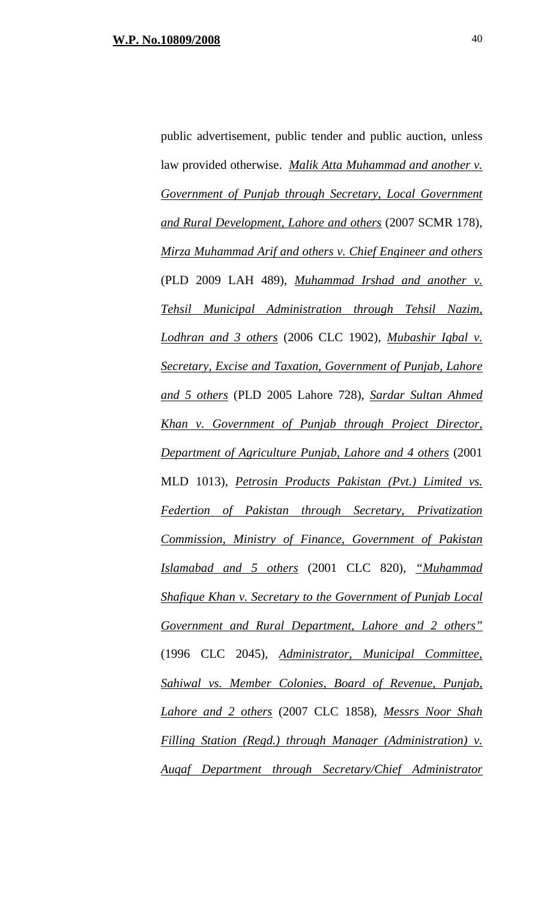public advertisement, public tender and public auction, unless law provided otherwise. *Malik Atta Muhammad and another v. Government of Punjab through Secretary, Local Government and Rural Development, Lahore and others* (2007 SCMR 178), *Mirza Muhammad Arif and others v. Chief Engineer and others* (PLD 2009 LAH 489), *Muhammad Irshad and another v. Tehsil Municipal Administration through Tehsil Nazim, Lodhran and 3 others* (2006 CLC 1902), *Mubashir Iqbal v. Secretary, Excise and Taxation, Government of Punjab, Lahore and 5 others* (PLD 2005 Lahore 728), *Sardar Sultan Ahmed Khan v. Government of Punjab through Project Director, Department of Agriculture Punjab, Lahore and 4 others* (2001 MLD 1013), *Petrosin Products Pakistan (Pvt.) Limited vs. Federtion of Pakistan through Secretary, Privatization Commission, Ministry of Finance, Government of Pakistan Islamabad and 5 others* (2001 CLC 820), *"Muhammad Shafique Khan v. Secretary to the Government of Punjab Local Government and Rural Department, Lahore and 2 others"* (1996 CLC 2045), *Administrator, Municipal Committee, Sahiwal vs. Member Colonies, Board of Revenue, Punjab, Lahore and 2 others* (2007 CLC 1858), *Messrs Noor Shah Filling Station (Regd.) through Manager (Administration) v. Auqaf Department through Secretary/Chief Administrator*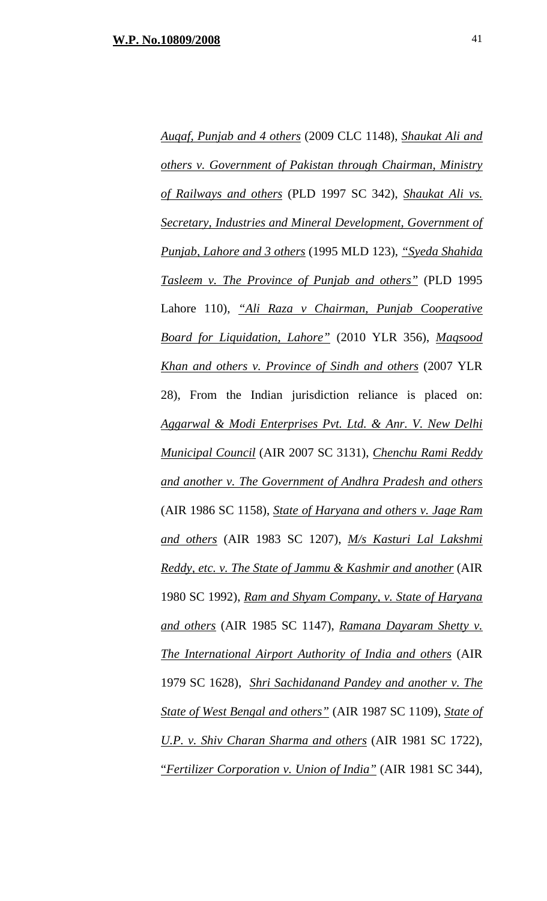*Auqaf, Punjab and 4 others* (2009 CLC 1148), *Shaukat Ali and others v. Government of Pakistan through Chairman, Ministry of Railways and others* (PLD 1997 SC 342), *Shaukat Ali vs. Secretary, Industries and Mineral Development, Government of Punjab, Lahore and 3 others* (1995 MLD 123), *"Syeda Shahida Tasleem v. The Province of Punjab and others"* (PLD 1995 Lahore 110), *"Ali Raza v Chairman, Punjab Cooperative Board for Liquidation, Lahore"* (2010 YLR 356), *Maqsood Khan and others v. Province of Sindh and others* (2007 YLR 28), From the Indian jurisdiction reliance is placed on: *Aggarwal & Modi Enterprises Pvt. Ltd. & Anr. V. New Delhi Municipal Council* (AIR 2007 SC 3131), *Chenchu Rami Reddy and another v. The Government of Andhra Pradesh and others* (AIR 1986 SC 1158), *State of Haryana and others v. Jage Ram and others* (AIR 1983 SC 1207), *M/s Kasturi Lal Lakshmi Reddy, etc. v. The State of Jammu & Kashmir and another* (AIR 1980 SC 1992), *Ram and Shyam Company, v. State of Haryana and others* (AIR 1985 SC 1147), *Ramana Dayaram Shetty v. The International Airport Authority of India and others* (AIR 1979 SC 1628), *Shri Sachidanand Pandey and another v. The State of West Bengal and others"* (AIR 1987 SC 1109), *State of U.P. v. Shiv Charan Sharma and others* (AIR 1981 SC 1722), "*Fertilizer Corporation v. Union of India"* (AIR 1981 SC 344),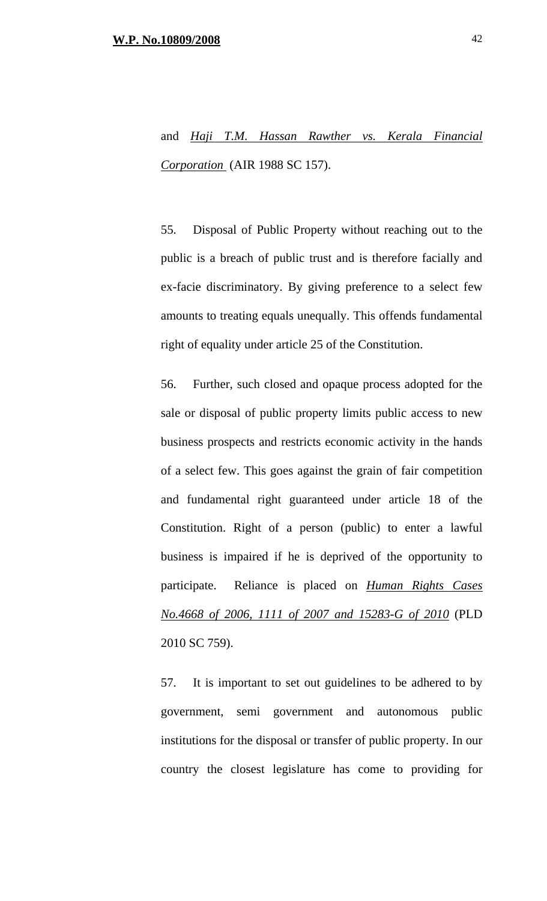# and *Haji T.M. Hassan Rawther vs. Kerala Financial Corporation* (AIR 1988 SC 157).

55. Disposal of Public Property without reaching out to the public is a breach of public trust and is therefore facially and ex-facie discriminatory. By giving preference to a select few amounts to treating equals unequally. This offends fundamental right of equality under article 25 of the Constitution.

56. Further, such closed and opaque process adopted for the sale or disposal of public property limits public access to new business prospects and restricts economic activity in the hands of a select few. This goes against the grain of fair competition and fundamental right guaranteed under article 18 of the Constitution. Right of a person (public) to enter a lawful business is impaired if he is deprived of the opportunity to participate. Reliance is placed on *Human Rights Cases No.4668 of 2006, 1111 of 2007 and 15283-G of 2010* (PLD 2010 SC 759).

57. It is important to set out guidelines to be adhered to by government, semi government and autonomous public institutions for the disposal or transfer of public property. In our country the closest legislature has come to providing for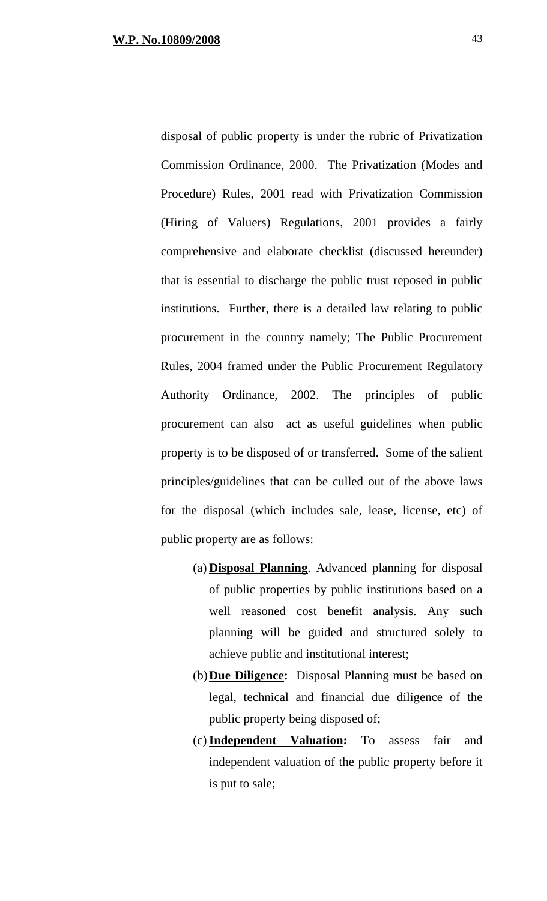disposal of public property is under the rubric of Privatization Commission Ordinance, 2000. The Privatization (Modes and Procedure) Rules, 2001 read with Privatization Commission (Hiring of Valuers) Regulations, 2001 provides a fairly comprehensive and elaborate checklist (discussed hereunder) that is essential to discharge the public trust reposed in public institutions. Further, there is a detailed law relating to public procurement in the country namely; The Public Procurement Rules, 2004 framed under the Public Procurement Regulatory Authority Ordinance, 2002. The principles of public procurement can also act as useful guidelines when public property is to be disposed of or transferred. Some of the salient principles/guidelines that can be culled out of the above laws for the disposal (which includes sale, lease, license, etc) of public property are as follows:

- (a) **Disposal Planning**. Advanced planning for disposal of public properties by public institutions based on a well reasoned cost benefit analysis. Any such planning will be guided and structured solely to achieve public and institutional interest;
- (b)**Due Diligence:** Disposal Planning must be based on legal, technical and financial due diligence of the public property being disposed of;
- (c)**Independent Valuation:** To assess fair and independent valuation of the public property before it is put to sale;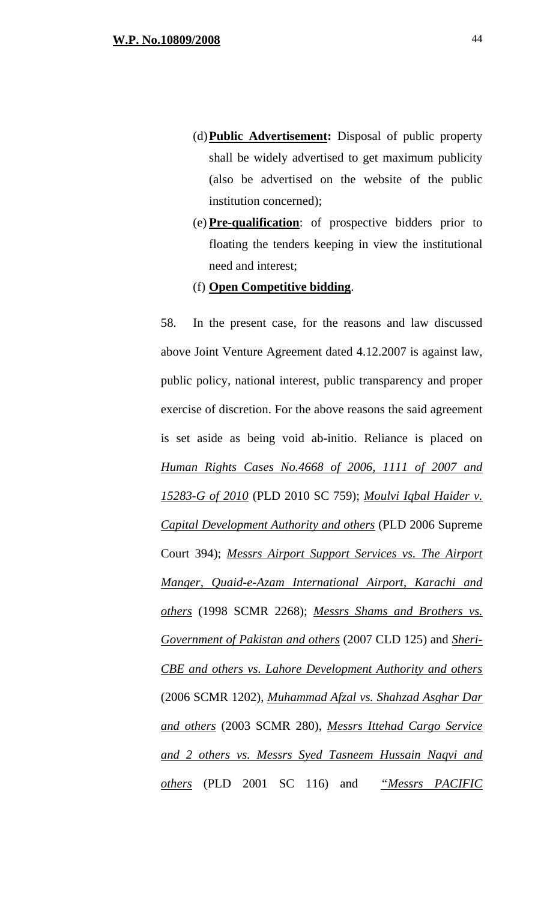- (d)**Public Advertisement:** Disposal of public property shall be widely advertised to get maximum publicity (also be advertised on the website of the public institution concerned);
- (e) **Pre-qualification**: of prospective bidders prior to floating the tenders keeping in view the institutional need and interest;
- (f) **Open Competitive bidding**.

58. In the present case, for the reasons and law discussed above Joint Venture Agreement dated 4.12.2007 is against law, public policy, national interest, public transparency and proper exercise of discretion. For the above reasons the said agreement is set aside as being void ab-initio. Reliance is placed on *Human Rights Cases No.4668 of 2006, 1111 of 2007 and 15283-G of 2010* (PLD 2010 SC 759); *Moulvi Iqbal Haider v. Capital Development Authority and others* (PLD 2006 Supreme Court 394); *Messrs Airport Support Services vs. The Airport Manger, Quaid-e-Azam International Airport, Karachi and others* (1998 SCMR 2268); *Messrs Shams and Brothers vs. Government of Pakistan and others* (2007 CLD 125) and *Sheri-CBE and others vs. Lahore Development Authority and others* (2006 SCMR 1202), *Muhammad Afzal vs. Shahzad Asghar Dar and others* (2003 SCMR 280), *Messrs Ittehad Cargo Service and 2 others vs. Messrs Syed Tasneem Hussain Naqvi and others* (PLD 2001 SC 116) and *"Messrs PACIFIC*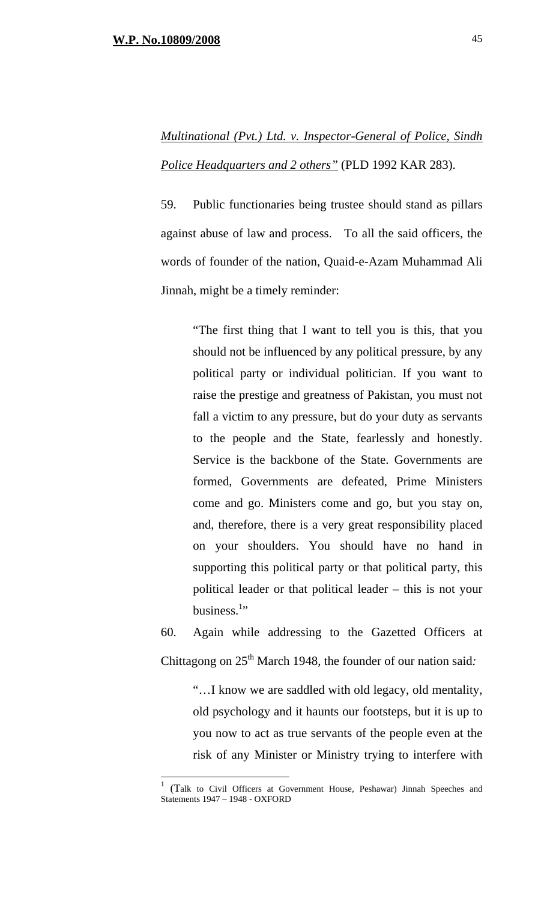$\overline{a}$ 

# *Multinational (Pvt.) Ltd. v. Inspector-General of Police, Sindh Police Headquarters and 2 others"* (PLD 1992 KAR 283).

59. Public functionaries being trustee should stand as pillars against abuse of law and process. To all the said officers, the words of founder of the nation, Quaid-e-Azam Muhammad Ali Jinnah, might be a timely reminder:

> "The first thing that I want to tell you is this, that you should not be influenced by any political pressure, by any political party or individual politician. If you want to raise the prestige and greatness of Pakistan, you must not fall a victim to any pressure, but do your duty as servants to the people and the State, fearlessly and honestly. Service is the backbone of the State. Governments are formed, Governments are defeated, Prime Ministers come and go. Ministers come and go, but you stay on, and, therefore, there is a very great responsibility placed on your shoulders. You should have no hand in supporting this political party or that political party, this political leader or that political leader – this is not your business. $1$ <sup>1</sup>

60. Again while addressing to the Gazetted Officers at Chittagong on 25<sup>th</sup> March 1948, the founder of our nation said:

> "…I know we are saddled with old legacy, old mentality, old psychology and it haunts our footsteps, but it is up to you now to act as true servants of the people even at the risk of any Minister or Ministry trying to interfere with

<sup>1</sup> (Talk to Civil Officers at Government House, Peshawar) Jinnah Speeches and Statements 1947 – 1948 - OXFORD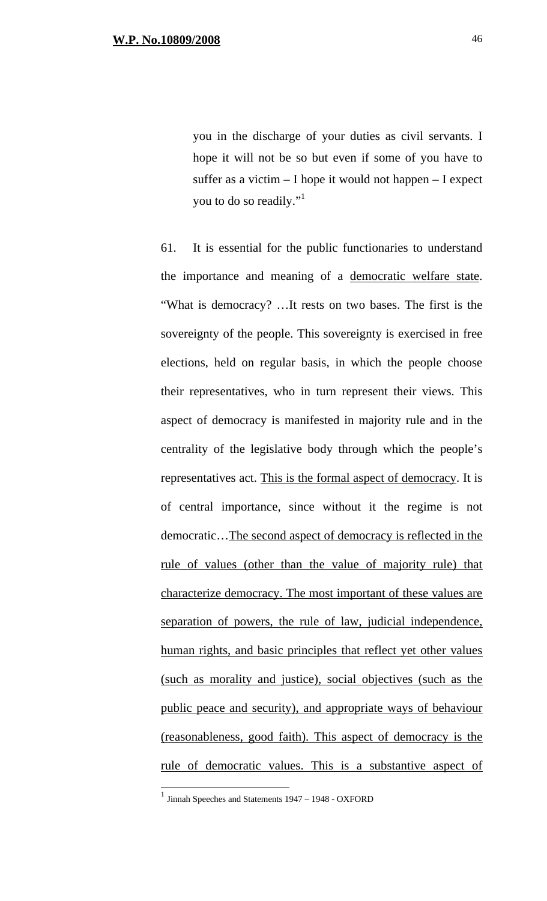you in the discharge of your duties as civil servants. I hope it will not be so but even if some of you have to suffer as a victim – I hope it would not happen – I expect you to do so readily."

61. It is essential for the public functionaries to understand the importance and meaning of a democratic welfare state. "What is democracy? …It rests on two bases. The first is the sovereignty of the people. This sovereignty is exercised in free elections, held on regular basis, in which the people choose their representatives, who in turn represent their views. This aspect of democracy is manifested in majority rule and in the centrality of the legislative body through which the people's representatives act. This is the formal aspect of democracy. It is of central importance, since without it the regime is not democratic…The second aspect of democracy is reflected in the rule of values (other than the value of majority rule) that characterize democracy. The most important of these values are separation of powers, the rule of law, judicial independence, human rights, and basic principles that reflect yet other values (such as morality and justice), social objectives (such as the public peace and security), and appropriate ways of behaviour (reasonableness, good faith). This aspect of democracy is the rule of democratic values. This is a substantive aspect of

 $\overline{a}$ 

<sup>&</sup>lt;sup>1</sup> Jinnah Speeches and Statements 1947 – 1948 - OXFORD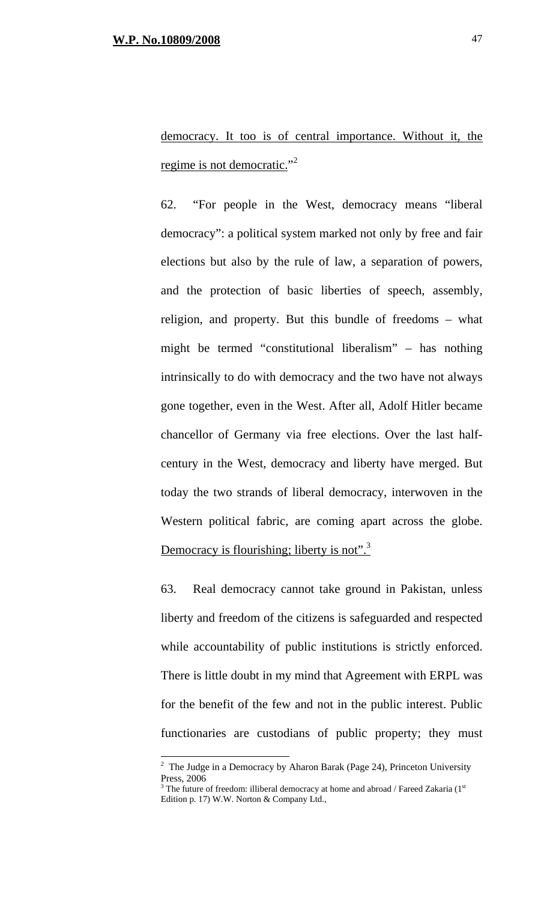$\overline{a}$ 

democracy. It too is of central importance. Without it, the regime is not democratic."<sup>2</sup>

62. "For people in the West, democracy means "liberal democracy": a political system marked not only by free and fair elections but also by the rule of law, a separation of powers, and the protection of basic liberties of speech, assembly, religion, and property. But this bundle of freedoms – what might be termed "constitutional liberalism" – has nothing intrinsically to do with democracy and the two have not always gone together, even in the West. After all, Adolf Hitler became chancellor of Germany via free elections. Over the last halfcentury in the West, democracy and liberty have merged. But today the two strands of liberal democracy, interwoven in the Western political fabric, are coming apart across the globe. Democracy is flourishing; liberty is not".<sup>3</sup>

63. Real democracy cannot take ground in Pakistan, unless liberty and freedom of the citizens is safeguarded and respected while accountability of public institutions is strictly enforced. There is little doubt in my mind that Agreement with ERPL was for the benefit of the few and not in the public interest. Public functionaries are custodians of public property; they must

<sup>&</sup>lt;sup>2</sup> The Judge in a Democracy by Aharon Barak (Page 24), Princeton University Press, 2006

 $3$  The future of freedom: illiberal democracy at home and abroad / Fareed Zakaria ( $1<sup>st</sup>$ Edition p. 17) W.W. Norton & Company Ltd.,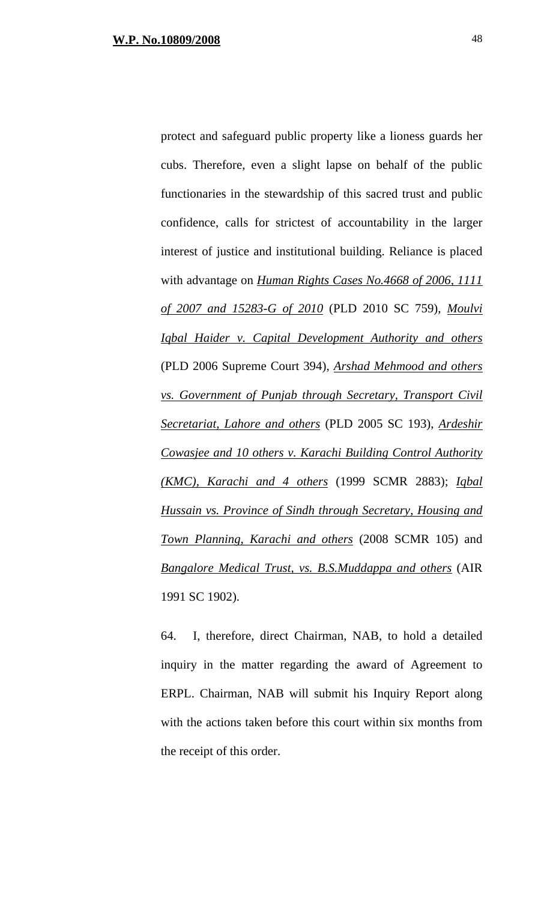protect and safeguard public property like a lioness guards her cubs. Therefore, even a slight lapse on behalf of the public functionaries in the stewardship of this sacred trust and public confidence, calls for strictest of accountability in the larger interest of justice and institutional building. Reliance is placed with advantage on *Human Rights Cases No.4668 of 2006, 1111 of 2007 and 15283-G of 2010* (PLD 2010 SC 759), *Moulvi Iqbal Haider v. Capital Development Authority and others* (PLD 2006 Supreme Court 394), *Arshad Mehmood and others vs. Government of Punjab through Secretary, Transport Civil Secretariat, Lahore and others* (PLD 2005 SC 193), *Ardeshir Cowasjee and 10 others v. Karachi Building Control Authority (KMC), Karachi and 4 others* (1999 SCMR 2883); *Iqbal* 

*Hussain vs. Province of Sindh through Secretary, Housing and Town Planning, Karachi and others* (2008 SCMR 105) and *Bangalore Medical Trust, vs. B.S.Muddappa and others* (AIR 1991 SC 1902).

64. I, therefore, direct Chairman, NAB, to hold a detailed inquiry in the matter regarding the award of Agreement to ERPL. Chairman, NAB will submit his Inquiry Report along with the actions taken before this court within six months from the receipt of this order.